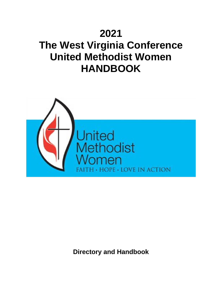# **2021**

# **The West Virginia Conference United Methodist Women HANDBOOK**



**Directory and Handbook**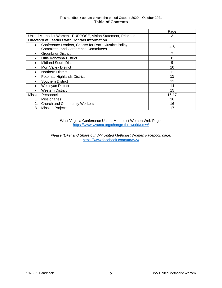#### This handbook update covers the period October 2020 – October 2021 **Table of Contents**

|                                                                                                            | Page  |
|------------------------------------------------------------------------------------------------------------|-------|
| United Methodist Women - PURPOSE, Vision Statement, Priorities                                             | 3     |
| Directory of Leaders with Contact Information                                                              |       |
| Conference Leaders, Charter for Racial Justice Policy<br>$\bullet$<br>Committee, and Conference Committees | 4-6   |
| <b>Greenbrier District</b><br>$\bullet$                                                                    | 7     |
| Little Kanawha District                                                                                    | 8     |
| <b>Midland South District</b>                                                                              | 9     |
| <b>Mon Valley District</b><br>$\bullet$                                                                    | 10    |
| <b>Northern District</b>                                                                                   | 11    |
| Potomac Highlands District                                                                                 | 12    |
| Southern District                                                                                          | 13    |
| <b>Wesleyan District</b>                                                                                   | 14    |
| <b>Western District</b>                                                                                    | 15    |
| <b>Mission Personnel</b>                                                                                   | 16-17 |
| <b>Missionaries</b>                                                                                        | 16    |
| 2.<br><b>Church and Community Workers</b>                                                                  | 16    |
| 3.<br><b>Mission Projects</b>                                                                              | 17    |

West Virginia Conference United Methodist Women Web Page: <https://www.wvumc.org/change-the-world/umw/>

*Please "Like" and Share our WV United Methodist Women Facebook page:*  <https://www.facebook.com/umwwv/>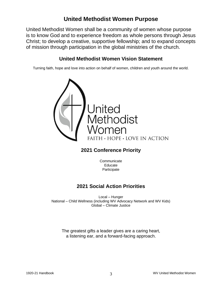# **United Methodist Women Purpose**

United Methodist Women shall be a community of women whose purpose is to know God and to experience freedom as whole persons through Jesus Christ; to develop a creative, supportive fellowship; and to expand concepts of mission through participation in the global ministries of the church.

# **United Methodist Women Vision Statement**

Turning faith, hope and love into action on behalf of women, children and youth around the world.



# **2021 Conference Priority**

**Communicate** Educate Participate

# **2021 Social Action Priorities**

Local – Hunger National – Child Wellness (including WV Advocacy Network and WV Kids) Global – Climate Justice

The greatest gifts a leader gives are a caring heart, a listening ear, and a forward-facing approach.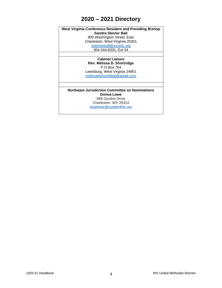# **2020 – 2021 Directory**

**West Virginia Conference Resident and Presiding Bishop Sandra Steiner Ball** 900 Washington Street, East Charleston, West Virginia 25301 [ssteinerball@wvumc.org](mailto:ssteinerball@wvumc.org) 304-344-8331, Ext 34

> **Cabinet Liaison Rev. Melissa D. Shortridge** P O Box 764 Lewisburg, West Virginia 24901 [melissadshortridge@gmail.com](mailto:melissadshortridge@gmail.com)

**Northeast Jurisdiction Committee on Nominations Donna Lowe** 686 Gordon Drive Charleston, WV 25314 [draelowe@suddenlink.net](mailto:draelowe@suddenlink.net)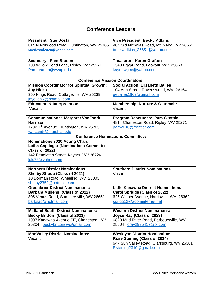# **Conference Leaders**

| <b>President: Sue Dostal</b>                      | <b>Vice President: Becky Adkins</b>         |
|---------------------------------------------------|---------------------------------------------|
| 814 N Norwood Road, Huntington, WV 25705          | 904 Old Nicholas Road, Mt. Nebo, WV 26651   |
| Suedostal2020@yahoo.com                           | beckyadkins_26651@yahoo.com                 |
|                                                   |                                             |
| Secretary: Pam Braden                             | <b>Treasurer: Karen Grafton</b>             |
| 100 Willow Bend Lane, Ripley, WV 25271            | 1348 Egypt Road, Lookout, WV 25868          |
| Pam.braden@wvup.edu                               | kaynewgee@yahoo.com                         |
|                                                   |                                             |
|                                                   | <b>Conference Mission Coordinators:</b>     |
| <b>Mission Coordinator for Spiritual Growth:</b>  | <b>Social Action: Elizabeth Bailes</b>      |
| <b>Joy Hicks</b>                                  | 104 Ann Street, Ravenswood, WV 26164        |
| 350 Kings Road, Cottageville, WV 25239            | eebailes1962@gmail.com                      |
| joyellehix@hotmail.com                            |                                             |
| <b>Education &amp; Interpretation:</b>            | <b>Membership, Nurture &amp; Outreach:</b>  |
| Vacant                                            | Vacant                                      |
|                                                   |                                             |
| <b>Communications: Margaret VanZandt</b>          | Program Resources: Pam Skotnicki            |
| <b>Harrison</b>                                   | 4814 Charleston Road, Ripley, WV 25271      |
| 1702 7 <sup>th</sup> Avenue, Huntington, WV 25703 | pam2010@frontier.com                        |
| vanzandt@marshall.edu                             |                                             |
|                                                   | <b>Conference Nominations Committee:</b>    |
| <b>Nominations 2020 Acting Chair:</b>             |                                             |
| <b>Letha Caplinger (Nominations Committee</b>     |                                             |
| <b>Class of 2022)</b>                             |                                             |
| 142 Pendleton Street, Keyser, WV 26726            |                                             |
| lglc76@yahoo.com                                  |                                             |
|                                                   |                                             |
| <b>Northern District Nominations:</b>             | <b>Southern District Nominations</b>        |
| <b>Shelby Straub (Class of 2021)</b>              | Vacant                                      |
| 10 Dorman Road, Wheeling, WV 26003                |                                             |
| shelby2359@hotmail.com                            |                                             |
| <b>Greenbrier District Nominations:</b>           | <b>Little Kanawha District Nominations:</b> |
| <b>Barbara Mullens: (Class of 2022)</b>           | <b>Carol Spriggs (Class of 2022)</b>        |
| 305 Venus Road, Summersville, WV 26651            | 625 Wigner Avenue, Harrisville, WV 26362    |
| <u>barbsad@hotmail.com</u>                        | sprigg12@zoominternet.net                   |
|                                                   |                                             |
| <b>Midland South District Nominations:</b>        | <b>Western District Nominations:</b>        |
| <b>Becky Britton: (Class of 2023)</b>             | Joyce Ray (Class of 2023)                   |
| 1907 Kanawha Avenue SE, Charleston, WV            | 6820 Mud River Road, Barboursville, WV      |
| 25304 beckybrittonwy@gmail.com                    | 25504 cray293541@aol.com                    |
|                                                   |                                             |
| <b>MonValley District Nominations:</b>            | <b>Wesleyan District Nominations:</b>       |
| Vacant                                            | Rose Sterling (Class of 2024)               |
|                                                   | 647 Sun Valley Road, Clarksburg, WV 26301   |
|                                                   | Rsterling2310@gmail.com                     |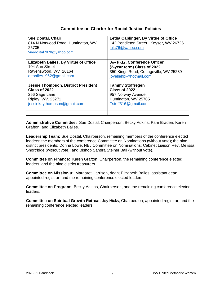### **Committee on Charter for Racial Justice Policies**

| <b>Sue Dostal, Chair</b><br>814 N Norwood Road, Huntington, WV<br>25705<br>Suedostal2020@yahoo.com | Letha Caplinger, By Virtue of Office<br>142 Pendleton Street Keyser, WV 26726<br>lglc76@yahoo.com |
|----------------------------------------------------------------------------------------------------|---------------------------------------------------------------------------------------------------|
| <b>Elizabeth Bailes, By Virtue of Office</b>                                                       | Joy Hicks, Conference Officer                                                                     |
| 104 Ann Street                                                                                     | (2-year term) Class of 2022                                                                       |
| Ravenswood, WV 26164                                                                               | 350 Kings Road, Cottageville, WV 25239                                                            |
| eebailes1962@gmail.com                                                                             | joyellehix@hotmail.com                                                                            |
| <b>Jessie Thompson, District President</b>                                                         | <b>Tammy Stoffregen</b>                                                                           |
| Class of 2022                                                                                      | Class of 2022                                                                                     |
| 256 Sage Lane                                                                                      | 957 Norway Avenue                                                                                 |
| Ripley, WV. 25271                                                                                  | Huntington, WV 25705                                                                              |
| jessiekaythompson@gmail.com                                                                        | Tstoff316@gmail.com                                                                               |

**Administrative Committee:** Sue Dostal, Chairperson, Becky Adkins, Pam Braden, Karen Grafton, and Elizabeth Bailes.

**Leadership Team:** Sue Dostal, Chairperson, remaining members of the conference elected leaders; the members of the conference Committee on Nominations (without vote); the nine district presidents; Donna Lowe, NEJ Committee on Nominations; Cabinet Liaison Rev. Melissa Shortridge (without vote): and Bishop Sandra Steiner Ball (without vote).

**Committee on Finance**: Karen Grafton, Chairperson, the remaining conference elected leaders, and the nine district treasurers.

**Committee on Mission u**: Margaret Harrison, dean; Elizabeth Bailes, assistant dean; appointed registrar; and the remaining conference elected leaders.

**Committee on Program:** Becky Adkins, Chairperson, and the remaining conference elected leaders.

**Committee on Spiritual Growth Retreat**: Joy Hicks, Chairperson; appointed registrar, and the remaining conference elected leaders.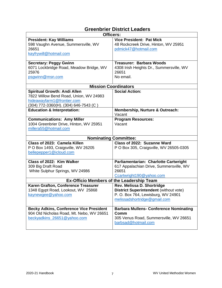| <b>Officers:</b>                                                                                                                                     |                                                                                                                                                                                                    |
|------------------------------------------------------------------------------------------------------------------------------------------------------|----------------------------------------------------------------------------------------------------------------------------------------------------------------------------------------------------|
| <b>President: Kay Williams</b><br>598 Vaughn Avenue, Summersville, WV<br>26651<br>kayfrywill@hotmail.com                                             | <b>Vice President: Pat Mick</b><br>48 Rockcreek Drive, Hinton, WV 25951<br>pdmick47@hotmail.com                                                                                                    |
| <b>Secretary: Peggy Gwinn</b><br>6071 Lockbridge Road, Meadow Bridge, WV<br>25976<br>psgwinn@msn.com                                                 | <b>Treasurer: Barbara Woods</b><br>4308 Irish Heights Dr., Summersville, WV<br>26651<br>No email.                                                                                                  |
| <b>Mission Coordinators</b>                                                                                                                          |                                                                                                                                                                                                    |
| <b>Spiritual Growth: Andi Allen</b><br>7822 Willow Bend Road, Union, WV 24983<br>hideawayfarm1@frontier.com<br>(304) 772-3360(H). (304) 646-7543 (C) | <b>Social Action:</b>                                                                                                                                                                              |
| <b>Education &amp; Interpretation:</b>                                                                                                               | Membership, Nurture & Outreach:<br>Vacant                                                                                                                                                          |
| <b>Communications: Amy Miller</b><br>1004 Greenbrier Drive, Hinton, WV 25951<br>millera55@hotmail.com                                                | <b>Program Resources:</b><br>Vacant                                                                                                                                                                |
| <b>Nominating Committee:</b>                                                                                                                         |                                                                                                                                                                                                    |
| Class of 2023: Camela Killen<br>P O Box 1493, Craigsville, WV 26205<br>bellepepper1@icloud.com                                                       | Class of 2022: Suzanne Ward<br>P O Box 305, Craigsville, WV 26505-0305                                                                                                                             |
| Class of 2022: Kim Walker<br>309 Big Draft Road<br>White Sulphur Springs, WV 24986                                                                   | Parliamentarian: Charlotte Cartwright<br>617 Appalachian Drive, Summersville, WV<br>26651<br>Ccartwright190@yahoo.com                                                                              |
| <b>Ex-Officio Members of the Leadership Team</b>                                                                                                     |                                                                                                                                                                                                    |
| Karen Grafton, Conference Treasurer<br>1348 Egypt Road, Lookout, WV 25868<br>kaynewgee@yahoo.com<br><b>Becky Adkins, Conference Vice President</b>   | Rev. Melissa D. Shortridge<br><b>District Superintendent (without vote)</b><br>P. O. Box 764, Lewisburg, WV 24901<br>melissadshortridge@gmail.com<br><b>Barbara Mullens- Conference Nominating</b> |
| 904 Old Nicholas Road, Mt. Nebo, WV 26651<br>beckyadkins_26651@yahoo.com                                                                             | Comm<br>305 Venus Road, Summersville, WV 26651<br>barbsad@hotmail.com                                                                                                                              |

# **Greenbrier District Leaders**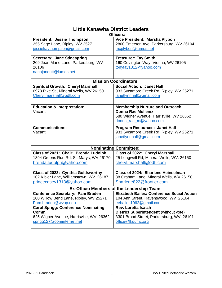# **Little Kanawha District Leaders**

| Officers:                                  |                                                                                 |
|--------------------------------------------|---------------------------------------------------------------------------------|
| <b>President: Jessie Thompson</b>          | Vice President: Marsha Plybon                                                   |
| 255 Sage Lane, Ripley, WV 25271            | 2800 Emerson Ave, Parkersburg, WV 26104                                         |
| jessiekaythompson@gmail.com                | mcplybon@lumos.net                                                              |
|                                            |                                                                                 |
| <b>Secretary: Jane Stinespring</b>         | <b>Treasurer: Fay Smith</b>                                                     |
| 209 Jean Marie Lane, Parkersburg, WV       | 160 Covington Way, Vienna, WV 26105                                             |
| 26106                                      | tonyfay1812@yahoo.com                                                           |
| nanajaneutt@lumos.net                      |                                                                                 |
|                                            |                                                                                 |
|                                            | <b>Mission Coordinators</b>                                                     |
| <b>Spiritual Growth: Cheryl Marshall</b>   | <b>Social Action: Janet Hall</b>                                                |
| 6973 Pike St., Mineral Wells, WV 26150     | 933 Sycamore Creek Rd, Ripley, WV 25271                                         |
| Cheryl.marshall@odfl.com                   | janetlynnhall@gmail.com                                                         |
|                                            |                                                                                 |
| <b>Education &amp; Interpretation:</b>     | <b>Membership Nurture and Outreach:</b>                                         |
| Vacant                                     | Donna Rae Mullenix                                                              |
|                                            | 580 Wigner Avenue, Harrisville, WV 26362                                        |
|                                            | donna_rae_m@yahoo.com                                                           |
| <b>Communications:</b>                     |                                                                                 |
| Vacant                                     | <b>Program Resources: Janet Hall</b><br>933 Sycamore Creek Rd, Ripley, WV 25271 |
|                                            | janetlynnhall@gmail.com                                                         |
|                                            |                                                                                 |
|                                            |                                                                                 |
|                                            | <b>Nominating Committee:</b>                                                    |
| Class of 2021: Chair: Brenda Ludolph       | Class of 2022: Cheryl Marshall                                                  |
| 1394 Greens Run Rd, St. Marys, WV 26170    | 25 Longwell Rd, Mineral Wells, WV. 26150                                        |
| brenda.ludolph@yahoo.com                   | cheryl.marshall@odfl.com                                                        |
|                                            |                                                                                 |
| Class of 2023: Cynthia Goldsworthy         | <b>Class of 2024: Sharlene Heinselman</b>                                       |
| 102 Kibler Lane, Williamstown, WV. 26187   | 38 Graham Lane, Mineral Wells, WV 26150                                         |
| princecasey1313@yahoo.com                  | Sharlene822@frontier.com                                                        |
| Ex-Officio Members of the Leadership Team  |                                                                                 |
| <b>Conference Secretary: Pam Braden</b>    | <b>Elizabeth Bailes: Conference Social Action</b>                               |
| 100 Willow Bend Lane, Ripley, WV 25271     | 104 Ann Street, Ravenswood, WV 26164                                            |
| Pam.braden@wvup.edu                        | eebailes1962@gmail.com                                                          |
| <b>Carol Sprigg: Conference Nominating</b> | <b>Rev. Loretta Isaiah</b>                                                      |
| Comm.                                      | <b>District Superintendent (without vote)</b>                                   |
| 625 Wigner Avenue, Harrisville, WV 26362   | 3301 Broad Street, Parkersburg, WV. 26101                                       |
| sprigg12@zoominternet.net                  | office@lkdumc.org                                                               |
|                                            |                                                                                 |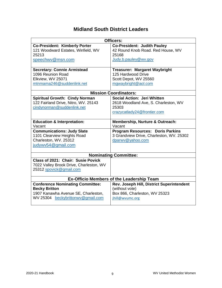# **Midland South District Leaders**

| <b>Officers:</b>                        |                                                  |
|-----------------------------------------|--------------------------------------------------|
| <b>Co-President: Kimberly Porter</b>    | <b>Co-President: Judith Pauley</b>               |
| 121 Woodward Estates, Winfield, WV      | 42 Round Knob Road. Red House, WV                |
| 25213                                   | 25168                                            |
| speechwv@msn.com                        | Judy.b.pauley@wv.gov                             |
|                                         |                                                  |
| <b>Secretary: Connie Armistead</b>      | <b>Treasurer: Margaret Waybright</b>             |
| 1096 Reunion Road                       | 125 Hardwood Drive                               |
| Elkview, WV 25071                       | Scott Depot, WV 25560                            |
| mtnmama246@suddenlink.net               | mgwaybright@aol.com                              |
|                                         |                                                  |
| <b>Mission Coordinators:</b>            |                                                  |
| <b>Spiritual Growth: Cindy Norman</b>   | <b>Social Action: Jeri Whitten</b>               |
| 122 Fairland Drive, Nitro, WV. 25143    | 2618 Woodland Ave, S. Charleston, WV             |
| cindynorman@suddenlink.net              | 25303                                            |
|                                         | crazycatlady24@frontier.com                      |
|                                         |                                                  |
| <b>Education &amp; Interpretation:</b>  | <b>Membership, Nurture &amp; Outreach:</b>       |
|                                         |                                                  |
| Vacant                                  | Vacant                                           |
| <b>Communications: Judy Slate</b>       | <b>Program Resources: Doris Parkins</b>          |
| 1101 Clearview Heights Road             | 3 Grandview Drive, Charleston, WV. 25302         |
| Charleston, WV. 25312                   | dparwy@yahoo.com                                 |
| judywy54@gmail.com                      |                                                  |
|                                         |                                                  |
|                                         | <b>Nominating Committee:</b>                     |
| Class of 2021: Chair: Susie Povick      |                                                  |
| 7022 Valley Brook Drive, Charleston, WV |                                                  |
| 25312 spovick@gmail.com                 |                                                  |
|                                         |                                                  |
|                                         | <b>Ex-Officio Members of the Leadership Team</b> |
| <b>Conference Nominating Committee:</b> | Rev. Joseph Hill, District Superintendent        |
| <b>Becky Britton</b>                    | (without vote)                                   |
| 1907 Kanawha Avenue SE, Charleston,     | Box 866, Charleston, WV 25323                    |
| WV 25304 beckybrittonwv@gmail.com       | jhill@wvumc.org                                  |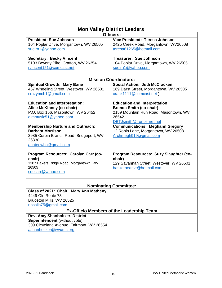# **Mon Valley District Leaders**

| <b>Officers:</b>                                                                                                                              |                                                                                                                                                       |
|-----------------------------------------------------------------------------------------------------------------------------------------------|-------------------------------------------------------------------------------------------------------------------------------------------------------|
| <b>President: Sue Johnson</b><br>104 Poplar Drive, Morgantown, WV 26505                                                                       | Vice President: Teresa Johnson<br>2425 Creek Road, Morgantown, WV26508                                                                                |
| suejrn1@yahoo.com                                                                                                                             | teresa81265@hotmail.com                                                                                                                               |
| <b>Secretary: Becky Vincent</b><br>5103 Beverly Pike, Grafton, WV 26354<br>rvincent151@comcast.net                                            | <b>Treasurer: Sue Johnson</b><br>104 Poplar Drive, Morgantown, WV 26505<br>suejrn1@yahoo.com                                                          |
|                                                                                                                                               | <b>Mission Coordinators:</b>                                                                                                                          |
| <b>Spiritual Growth: Mary Bane</b><br>457 Wheeling Street, Westover, WV 26501<br>crazymcb1@gmail.com                                          | Social Action: Judi McCracken<br>169 Darst Street, Morgantown, WV 26505<br>crack1111@comcast.net)                                                     |
| <b>Education and Interpretation:</b><br>Alice McKinney (co-chair)<br>P.O. Box 156, Masontown, WV 26452<br>ajmmusic51@yahoo.com                | <b>Education and Interpretation:</b><br><b>Brenda Smith (co-chair)</b><br>2159 Mountain Run Road, Masontown, WV<br>26542<br>DBTJsmith@frontiernet.net |
| <b>Membership Nurture and Outreach:</b><br><b>Barbara Morrison</b><br>3985 Corbin Branch Road, Bridgeport, WV<br>26330<br>aunteewho@gmail.com | <b>Communications: Meghann Gregory</b><br>12 Robin Lane, Morgantown, WV 26508<br>Archmegh919@gmail.com                                                |
| Program Resources: Carolyn Carr (co-<br>chair)<br>1307 Bakers Ridge Road, Morgantown, WV<br>26505<br>cdccarr@yahoo.com                        | Program Resources: Suzy Slaughter (co-<br>chair)<br>129 Savannah Street, Westover, WV 26501<br>basketbearlvr@hotmail.com                              |
|                                                                                                                                               |                                                                                                                                                       |
|                                                                                                                                               | <b>Nominating Committee:</b>                                                                                                                          |
| Class of 2021: Chair: Mary Ann Matheny<br>4449 Old Route 73                                                                                   |                                                                                                                                                       |
| Bruceton Mills, WV 26525                                                                                                                      |                                                                                                                                                       |
| ripsalis75@gmail.com                                                                                                                          |                                                                                                                                                       |
|                                                                                                                                               | <b>Ex-Officio Members of the Leadership Team</b>                                                                                                      |
| Rev. Amy Shanholtzer, District                                                                                                                |                                                                                                                                                       |
| <b>Superintendent</b> (without vote)                                                                                                          |                                                                                                                                                       |
| 309 Cleveland Avenue, Fairmont, WV 26554<br>ashanholtzer@wvumc.org                                                                            |                                                                                                                                                       |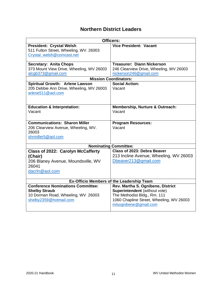# **Northern District Leaders**

| <b>Officers:</b>                                 |                                                      |
|--------------------------------------------------|------------------------------------------------------|
| <b>President: Crystal Welsh</b>                  | <b>Vice President: Vacant</b>                        |
| 511 Fulton Street, Wheeling, WV. 26003           |                                                      |
| Crystal_welsh@comcast.net                        |                                                      |
| <b>Secretary: Anita Chops</b>                    | <b>Treasurer: Diann Nickerson</b>                    |
| 373 Mount View Drive, Wheeling, WV 26003         | 246 Clearview Drive, Wheeling, WV 26003              |
| alcgb373@gmail.com                               | nickerson246@gmail.com                               |
|                                                  | <b>Mission Coordinators:</b>                         |
| Spiritual Growth: Arlene Lawson                  | <b>Social Action:</b>                                |
| 205 Debbie Ann Drive, Wheeling, WV 26003         | Vacant                                               |
| arlene511@aol.com                                |                                                      |
|                                                  |                                                      |
|                                                  |                                                      |
| <b>Education &amp; Interpretation:</b><br>Vacant | <b>Membership, Nurture &amp; Outreach:</b><br>Vacant |
|                                                  |                                                      |
|                                                  |                                                      |
| <b>Communications: Sharon Miller</b>             | <b>Program Resources:</b>                            |
| 206 Clearview Avenue, Wheeling, WV.              | Vacant                                               |
| 26003                                            |                                                      |
| shrmiller5@aol.com                               |                                                      |
|                                                  | <b>Nominating Committee:</b>                         |
| <b>Class of 2022: Carolyn McCafferty</b>         | <b>Class of 2023: Debra Beaver</b>                   |
| (Chair)                                          | 213 Incline Avenue, Wheeling, WV 26003               |
| 206 Blaney Avenue, Moundsville, WV               | Dbeaver213@gmail.com                                 |
| 26041                                            |                                                      |
| dacrIn@aol.com                                   |                                                      |
|                                                  |                                                      |
| Ex-Officio Members of the Leadership Team        |                                                      |
| <b>Conference Nominations Committee:</b>         | Rev. Martha S. Ognibene, District                    |
| <b>Shelby Straub</b>                             | Superintendent (without vote)                        |
| 10 Dorman Road, Wheeling, WV 26003               | The Methodist Bldg., Rm. 111                         |
| shelby2359@hotmail.com                           | 1060 Chapline Street, Wheeling, WV 26003             |
|                                                  | mlsognibene@gmail.com                                |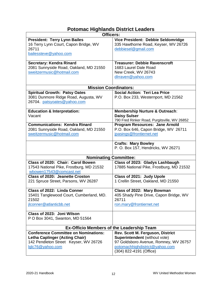# **Potomac Highlands District Leaders**

| <b>Officers:</b>                                                             |                                                                            |  |
|------------------------------------------------------------------------------|----------------------------------------------------------------------------|--|
| <b>President: Terry Lynn Bailes</b><br>16 Terry Lynn Court, Capon Bridge, WV | Vice President: Debbie Seldomridge<br>335 Hawthorne Road, Keyser, WV 26726 |  |
| 26711                                                                        | debbiesel@gmail.com                                                        |  |
| bailessteve@yahoo.com                                                        |                                                                            |  |
| Secretary: Kendra Rinard                                                     | <b>Treasurer: Debbie Ravenscroft</b>                                       |  |
| 2081 Sunnyside Road, Oakland, MD 21550                                       | 1683 Laurel Dale Road                                                      |  |
| sweitzermusic@hotmail.com                                                    | New Creek, WV 26743                                                        |  |
|                                                                              | dlrraven@yahoo.com                                                         |  |
| <b>Mission Coordinators:</b>                                                 |                                                                            |  |
| <b>Spiritual Growth: Patsy Oates</b>                                         | <b>Social Action: Teri Lea Price</b>                                       |  |
| 3081 Dunmore Ridge Road, Augusta, WV                                         | P.O. Box 233, Westernport, MD 21562                                        |  |
| 26704. patsyoates@yahoo.com                                                  |                                                                            |  |
| <b>Education &amp; Interpretation:</b>                                       | <b>Membership Nurture &amp; Outreach:</b>                                  |  |
| Vacant                                                                       | <b>Daisy Sulser</b>                                                        |  |
|                                                                              | 790 Fred Rinker Road, Purgitsville, WV 26852                               |  |
| <b>Communications: Kendra Rinard</b>                                         | Program Resources: Jane Arnold                                             |  |
| 2081 Sunnyside Road, Oakland, MD 21550                                       | P.O. Box 646, Capon Bridge, WV 26711                                       |  |
| sweitzermusic@hotmail.com                                                    | jpasings@frontiernet.net                                                   |  |
|                                                                              | <b>Crafts: Mary Bowley</b><br>P. O. Box 157, Hendricks, WV 26271           |  |
| <b>Nominating Committee:</b>                                                 |                                                                            |  |
| Class of 2020: Chair: Carol Bowen                                            | Class of 2023: Gladys Lashbaugh                                            |  |
| 17543 National Pike, Frostburg, MD 21532                                     | 17885 National Pike, Frostburg, MD 21532                                   |  |
| wbowen17543@comcast.net                                                      |                                                                            |  |
| <b>Class of 2020: Jeanette Croston</b>                                       | Class of 2021: Judy Upole                                                  |  |
| 221 Spruce Street, Parsons, WV 26287                                         | 1 Crellin Street, Oakland, MD 21550                                        |  |
| Class of 2022: Linda Conner                                                  | Class of 2022: Mary Bowman                                                 |  |
| 15401 Tanglewood Court, Cumberland, MD.<br>21502                             | 405 Shady Pine Drive, Capon Bridge, WV<br>26711                            |  |
| jlconner@atlanticbb.net                                                      | ron.mary@frontiernet.net                                                   |  |
| Class of 2023: Joni Wilson                                                   |                                                                            |  |
| P O Box 3041, Swanton, MD 51564                                              |                                                                            |  |
| Ex-Officio Members of the Leadership Team                                    |                                                                            |  |
| <b>Conference Committee on Nominations:</b>                                  | Rev. Scott M. Ferguson, District                                           |  |
| <b>Letha Caplinger (Acting Chair)</b>                                        | Superintendent (without vote)                                              |  |
| 142 Pendleton Street Keyser, WV 26726                                        | 97 Goldsboro Avenue, Romney, WV 26757                                      |  |
| lglc76@yahoo.com                                                             | potomachhighdistrict@yahoo.com<br>(304) 822-4191 (Office)                  |  |
|                                                                              |                                                                            |  |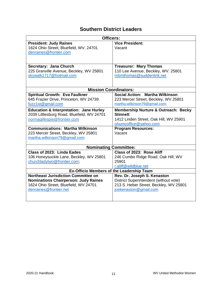# **Southern District Leaders**

| <b>Officers:</b>                                   |                                                 |  |
|----------------------------------------------------|-------------------------------------------------|--|
| <b>President: Judy Raines</b>                      | <b>Vice President:</b>                          |  |
| 1624 Ohio Street, Bluefield, WV. 24701             | Vacant                                          |  |
| denraines@frontier.com                             |                                                 |  |
|                                                    |                                                 |  |
|                                                    |                                                 |  |
| Secretary: Jana Church                             | <b>Treasurer: Mary Thomas</b>                   |  |
| 225 Granville Avenue, Beckley, WV 25801            | 110 Lee Avenue, Beckley, WV. 25801              |  |
| skywalk1717@hotmail.com                            | mbmthomas@suddenlink.net                        |  |
|                                                    |                                                 |  |
|                                                    |                                                 |  |
| <b>Mission Coordinators:</b>                       |                                                 |  |
| <b>Spiritual Growth: Eva Faulkner</b>              | Social Action: Martha Wilkinson                 |  |
| 645 Frazier Drive, Princeton, WV 24739             | 223 Mercer Street, Beckley, WV 25801            |  |
| fuzz1st@gmail.com                                  | martha.wilkinson79@gmail.com;                   |  |
| <b>Education &amp; Interpretation: Jane Hurley</b> | <b>Membership Nurture &amp; Outreach: Becky</b> |  |
| 2039 Littlesburg Road, Bluefield, WV 24701         | <b>Stinnett</b>                                 |  |
| normagillespie@frontier.com                        | 1412 Linden Street, Oak Hill, WV 25901          |  |
|                                                    | ohumcoffice@yahoo.com                           |  |
| <b>Communications: Martha Wilkinson</b>            | <b>Program Resources:</b>                       |  |
|                                                    | Vacant                                          |  |
| 223 Mercer Street, Beckley, WV 25801               |                                                 |  |
| martha.wilkinson79@gmail.com                       |                                                 |  |
|                                                    |                                                 |  |
| <b>Nominating Committee:</b>                       |                                                 |  |
| Class of 2023: Linda Eades                         | Class of 2023: Rose Aliff                       |  |
| 106 Honeysuckle Lane, Beckley, WV 25801            | 246 Cumbo Ridge Road, Oak Hill, WV              |  |
| churchladytwo@frontier.com;                        | 25901                                           |  |
|                                                    | r.aliff@wildblue.net                            |  |
| <b>Ex-Officio Members of the Leadership Team</b>   |                                                 |  |
| <b>Northeast Jurisdiction Committee on</b>         | Rev. Dr. Joseph S. Kenaston                     |  |
| <b>Nominations Chairperson: Judy Raines</b>        | District Superintendent (without vote)          |  |
| 1624 Ohio Street, Bluefield, WV 24701              | 213 S. Heber Street, Beckley, WV 25801          |  |
| denraines@frontier.net                             | joekenaston@gmail.com                           |  |
|                                                    |                                                 |  |
|                                                    |                                                 |  |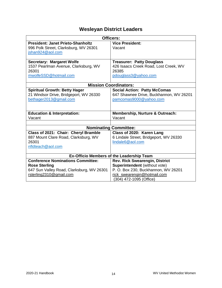# **Wesleyan District Leaders**

| Officers:                                 |                                                  |
|-------------------------------------------|--------------------------------------------------|
|                                           |                                                  |
| <b>President: Janet Prieto-Shanholtz</b>  | <b>Vice President:</b>                           |
| 996 Polk Street, Clarksburg, WV 26301     | Vacant                                           |
| jshan924@aol.com                          |                                                  |
|                                           |                                                  |
| <b>Secretary: Margaret Wolfe</b>          | <b>Treasurer: Patty Douglass</b>                 |
| 1537 Pearlman Avenue, Clarksburg, WV      | 426 Isaacs Creek Road, Lost Creek, WV            |
| 26301                                     | 26385                                            |
| mwolfeSSD@hotmail.com                     | pdouglass3@yahoo.com                             |
|                                           |                                                  |
| <b>Mission Coordinators:</b>              |                                                  |
| <b>Spiritual Growth: Betty Hager</b>      | <b>Social Action: Patty McComas</b>              |
| 21 Windsor Drive, Bridgeport, WV 26330    | 647 Shawnee Drive, Buckhannon, WV 26201          |
| bethager2013@gmail.com                    | pamcomas9000@yahoo.com                           |
|                                           |                                                  |
|                                           |                                                  |
| <b>Education &amp; Interpretation:</b>    | Membership, Nurture & Outreach:                  |
| Vacant                                    | Vacant                                           |
|                                           |                                                  |
|                                           | <b>Nominating Committee:</b>                     |
| Class of 2021: Chair: Cheryl Bramble      | Class of 2020: Karen Lang                        |
| 887 Mount Clare Road, Clarksburg, WV      | 6 Lindale Street, Bridgeport, WV 26330           |
| 26301                                     | lindale6@aol.com                                 |
| nfldteach@aol.com                         |                                                  |
|                                           |                                                  |
|                                           | <b>Ex-Officio Members of the Leadership Team</b> |
| <b>Conference Nominations Committee:</b>  | <b>Rev. Rick Swearengin, District</b>            |
| <b>Rose Sterling</b>                      | Superintendent (without vote)                    |
| 647 Sun Valley Road, Clarksburg, WV 26301 | P. O. Box 230, Buckhannon, WV 26201              |
| rsterling2310@gmail.com                   | rick_swearengin@hotmail.com                      |
|                                           | (304) 472-1095 (Office)                          |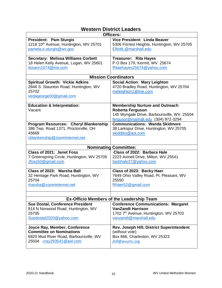# **Western District Leaders**

|                                                    | <b>Officers:</b>                                 |
|----------------------------------------------------|--------------------------------------------------|
| <b>President: Pam Sturgis</b>                      | Vice President: Linda Beaver                     |
| 1218 10 <sup>th</sup> Avenue, Huntington, WV 25701 | 5306 Forrest Heights, Huntington, WV 25705       |
| pamela.e.sturgis@wv.gov                            | ElliottL@marshall.edu                            |
|                                                    |                                                  |
| <b>Secretary: Melissa Williams Corbett</b>         | <b>Treasurer: Rita Hayes</b>                     |
| 18 Helen Kelly Avenue, Logan, WV 25601             | P O Box 179, Kermit, WV. 25674                   |
| lissann1074@me.com                                 | Ritaehayes25674@yahoo.com                        |
|                                                    |                                                  |
|                                                    | <b>Mission Coordinators</b>                      |
| <b>Spiritual Growth: Vickie Adkins</b>             | <b>Social Action: Mary Leighton</b>              |
| 2846 S. Staunton Road, Huntington, WV              | 4720 Bradley Road, Huntington, WV 25704          |
| 25702                                              | meleighton1@live.com                             |
| vedageorge00@gmail.com                             |                                                  |
|                                                    |                                                  |
| <b>Education &amp; Interpretation:</b>             | <b>Membership Nurture and Outreach:</b>          |
| Vacant                                             | <b>Roberta Ferguson</b>                          |
|                                                    | 145 Wyngate Drive, Barboursville, WV. 25504      |
|                                                    | fergusor@marhall.edu (304) 972-3294              |
| Program Resources: Cheryl Blankenship              | <b>Communications: Wanda Skidmore</b>            |
| 386 Twp. Road 1371, Proctorville, OH               | 38 Larkspur Drive, Huntington, WV 25705          |
| 45669                                              | skiddles@aol.com                                 |
| cblankenship@zoominternet.net                      |                                                  |
|                                                    |                                                  |
|                                                    | <b>Nominating Committee:</b>                     |
| Class of 2021: Janet Foss                          | Class of 2022: Barbara Hale                      |
| 7 Greenspring Circle, Huntington, WV 25705         | 2223 Avinell Drive, Milton, WV 25541             |
| Jfoss50@gmail.com                                  | barbhale37@yahoo.com                             |
|                                                    |                                                  |
| Class of 2023: Marsha Ball                         | Class of 2023: Becky Haer                        |
| 32 Heritage Park Road, Huntington, WV              | 7649 Ohio Valley Road, Pt. Pleasant, WV          |
| 25704                                              | 25550                                            |
| marsha@zoominternet.net                            | Rhaer52@gmail.com                                |
|                                                    |                                                  |
|                                                    |                                                  |
|                                                    | <b>Ex-Officio Members of the Leadership Team</b> |
| Sue Dostal, Conference President                   | <b>Conference Communications: Margaret</b>       |
| 814 N Norwood Road, Huntington, WV                 | <b>VanZandt Harrison</b>                         |
| 25705                                              | 1702 7th Avenue, Huntington, WV 25703            |
| Suedostal2020@yahoo.com                            | vanzandt@marshall.edu                            |
|                                                    |                                                  |
| Joyce Ray, Member, Conference                      | Rev. Joseph Hill, District Superintendent        |
| <b>Committee on Nominations</b>                    | (without vote)                                   |
| 6820 Mud River Road, Barboursville, WV             | Box 866, Charleston, WV 25323                    |
| 25504 cray293541@aol.com                           | jhill@wvumc.org                                  |
|                                                    |                                                  |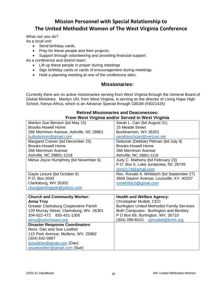# **Mission Personnel with Special Relationship to The United Methodist Women of The West Virginia Conference**

What can you do? As a local unit:

- Send birthday cards.
- Pray for these people and their projects.
- Support through volunteering and providing financial support.

As a conference and district team:

- Lift up these people in prayer during meetings
- Sign birthday cards or cards of encouragement during meetings.
- Hold a planning meeting at one of the conference sites.

# **Missionaries:**

Currently there are no active missionaries serving from West Virginia through the General Board of Global Ministries. Marilyn Uhl, from West Virginia, is serving as the director of Living Hope High School, Kenya Africa, which is an Advance Special through GBGM (#3021425)

### **Retired Missionaries and Deaconesses: From West Virginia and/or Served in West Virginia**

|                                         | <u>I IVIII WEST VII YIIIIA ANAJOI OEI VEU III WEST VII YIIIIA</u> |
|-----------------------------------------|-------------------------------------------------------------------|
| Marilyn Sue Benson (bd May 15)          | Sarah L. Carr (bd August 31)                                      |
| <b>Brooks-Howell Home</b>               | 15 Meade Street                                                   |
| 266 Merrimon Avenue, Ashville, NC 28801 | Buckhannon, WV 26201                                              |
| bulbulsmom@gmail.com                    | sarahlynchcarr@verizon.net                                        |
| Margaret Craven (bd December 25)        | Deborah (Debbie) Pittman (bd July 9)                              |
| <b>Brooks-Howell Home</b>               | <b>Brooks-Howell Home</b>                                         |
| 266 Merrimon Avenue                     | 266 Merrimon Avenue                                               |
| Ashville, NC 28801-1218                 | Ashville, NC 28801-1218                                           |
| Melva Joyce Humphrey (bd November 6)    | Judy C. Matheny (bd February 23)                                  |
|                                         | P.O. Box 5, Lake Junaluska, NC 28745                              |
|                                         | Jcm2174@gmail.com                                                 |
| Gayle Lesure (bd October 6)             | Rev. Ronald A. Whitlatch (bd September 27)                        |
| P.O. Box 2043                           | 3606 Dayton Avenue, Louisville, KY. 40207                         |
| Clarksburg, WV 26302                    | ronwhitlach@gmail.com                                             |
| cburgparishgayle@yahoo.com              |                                                                   |
|                                         |                                                                   |
| <b>Church and Community Worker:</b>     | <b>Health and Welfare Agency:</b>                                 |
| <b>Anna Troy</b>                        | Christopher Mullett, CEO                                          |
| Greater Clarksburg Cooperative Parish   | <b>Burlington United Methodist Family Services</b>                |
| 120 Murray Street, Clarksburg, WV 26301 | Both Campuses: Burlington and Beckley                             |
| 304-622-472 830-431-1305                | P O Box 69, Burlington, WV. 26710                                 |
| atroy@umcnission.org                    | (304) 289-6010. cpmullett@bmfs.org                                |
| <b>Disaster Response Coordinators</b>   |                                                                   |
| Revs. Dan and Sue Lowther               |                                                                   |
| 115 Park Avenue, Mullens, WV. 25882     |                                                                   |
| (304) 642-0897                          |                                                                   |
| dclowther@gmail.com (Dan)               |                                                                   |
| wsuelowther@gmail.com (Sue)             |                                                                   |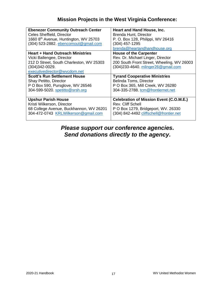# **Mission Projects in the West Virginia Conference:**

| <b>Ebenezer Community Outreach Center</b>         | Heart and Hand House, Inc.                     |
|---------------------------------------------------|------------------------------------------------|
| Celes Sheffield, Director                         | Brenda Hunt, Director                          |
| 1660 8 <sup>th</sup> Avenue, Huntington, WV 25703 | P. O. Box 128, Philippi, WV 26416              |
|                                                   |                                                |
| (304) 523-2882. ebencomout@gmail.com              | (304) 457-1295                                 |
|                                                   | brenda@heartandhandhouse.org                   |
| <b>Heart + Hand Outreach Ministries</b>           | <b>House of the Carpenter</b>                  |
| Vicki Ballengee, Director                         | Rev. Dr. Michael Linger, Director              |
| 212 D Street, South Charleston, WV 25303          | 200 South Front Street, Wheeling, WV 26003     |
| $(304)342-0029.$                                  | (304) 233-4640. mlinger 26@gmail.com           |
| executivedirector@wvcdom.net                      |                                                |
| <b>Scott's Run Settlement House</b>               | <b>Tyrand Cooperative Ministries</b>           |
| Shay Petitto, Director                            | <b>Belinda Toms, Director</b>                  |
| P O Box 590, Pursglove, WV 26546                  | P O Box 365, Mill Creek, WV 26280              |
| 304-599-5020. spetitto@srsh.org                   | 304-335-2788. tcm@frontiernet.net              |
|                                                   |                                                |
| <b>Upshur Parish House</b>                        | <b>Celebration of Mission Event (C.O.M.E.)</b> |
| Kristi Wilkerson, Director                        | Rev. Cliff Schell                              |
|                                                   |                                                |
| 68 College Avenue, Buckhannon, WV 26201           | P O Box 1279, Bridgeport, WV. 26330            |
| 304-472-0743 KRLWilkerson@gmail.com               | (304) 842-4492 cliffschell@frontier.net        |
|                                                   |                                                |

# *Please support our conference agencies. Send donations directly to the agency.*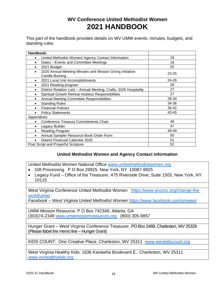# **WV Conference United Methodist Women 2021 HANDBOOK**

This part of the handbook provides details on WV UMW events, minutes, budgets, and standing rules.

| Handbook:                                                                                 |       |
|-------------------------------------------------------------------------------------------|-------|
| United Methodist Women/ Agency Contact Information<br>$\bullet$                           | 18    |
| Dates - Events and Committee Meetings<br>$\bullet$                                        | 19    |
| 2021 Budget                                                                               | 20    |
| 2020 Annual Meeting Minutes and Mission Giving Initiative:<br>$\bullet$<br>Candle Burning | 23-25 |
| 2021 Local Unit Accomplishments<br>$\bullet$                                              | 24-26 |
| 2021 Reading program                                                                      | 26    |
| District Rotation Lists - Annual Meeting, Crafts, SGR Hospitality<br>$\bullet$            | 27    |
| Spiritual Growth Retreat Hostess Responsibilities<br>٠                                    | 27    |
| Annual Meeting Committee Responsibilities                                                 | 28-34 |
| <b>Standing Rules</b>                                                                     | 34-36 |
| <b>Financial Policies</b>                                                                 | 36-42 |
| <b>Policy Statements</b><br>٠                                                             | 43-45 |
| Appendices:                                                                               |       |
| <b>Conference Treasury Commitments Chart</b><br>$\bullet$                                 | 46    |
| Legacy Builder                                                                            | 47    |
| Reading Program                                                                           | 48-49 |
| Annual Sampler Resource Book Order Form                                                   | 50    |
| District Financial Calendar 2020                                                          | 51    |
| Post Script and Prayerful Scripture                                                       | 52    |

# **United Methodist Women and Agency Contact information**

United Methodist Women National Office [www.unitedmethodistwomen.org](http://www.unitedmethodistwomen.org/)

- Gift Processing P O Box 29925. New York, NY 10087-9925
- Legacy Fund Office of the Treasurer, 475 Riverside Drive, Suite 1503, New York, NY 10115

West Virginia Conference United Methodist Women [https://www.wvumc.org/change-the](https://www.wvumc.org/change-the-world/umw/)[world/umw/](https://www.wvumc.org/change-the-world/umw/)

*Facebook – West Virginia United Methodist Women* <https://www.facebook.com/umwwv/>

UMW Mission Resource, P O Box 742349, Atlanta, GA (303)74-2349 [www.umwmissionresources.org](http://www.umwmissionresources.org/) (800) 305-9857

Hunger Grant – West Virginia Conference Treasurer, PO Box 2469, Charleston, WV 25329 (Please llabel the memo line – Hunger Grant)

KIDS COUNT: One Creative Place, Charleston, WV 25311 [www.wwvkidscount.org](http://www.wwvkidscount.org/)

West Virginia Healthy Kids: 1636 Kanawha Boulevard E., Charleston, WV 25311 [www.wvhealthykids.org](http://www.wvhealthykids.org/)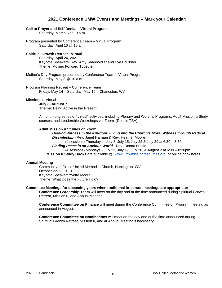### **2021 Conference UMW Events and Meetings – Mark your Calendar!**

#### **Call to Prayer and Self Denial – Virtual Program**

Saturday, March 6 at 10 a.m.

Program presented by Conference Team – Virtual Program Saturday, April 10 @ 10 a.m.

#### **Spiritual Growth Retreat - Virtual**

Saturday, April 24, 2021 Keynote Speakers: Rev. Amy Shanholtzer and Eva Faulkner Theme: Moving Forward Together

Mother's Day Program presented by Conference Team – Virtual Program Saturday, May 8 @ 10 a.m.

Program Planning Retreat – Conference Team Friday, May 14 – Saturday, May 15 – Charleston, WV

#### **Mission u –**Virtual

**July 3- August 7 Theme:** Being Active in the Present

A month-long series of "virtual" activities, including Plenary and Worship Programs, Adult Mission u Study courses, and Leadership Workshops via Zoom. (Details TBA)

#### **Adult Mission u Studies on Zoom:**

*Bearing Witness in the Kin-dom: Living into the Church's Moral Witness through Radical Discipleship* - Rev. Janet Harman & Rev. Heather Moore

(4 sessions) Thursdays - July 8, July 15, July 22 & July 29 at 6:30 – 8:30pm *Finding Peace in an Anxious World* - Rev. Donna Hinkle (4 sessions) Mondays - July 12, July 19, July 26, & August 2 at 6:30 – 8:30pm

**Mission u Study Books** are available @ [www.umwmissionresources.org/](http://www.umwmissionresources.org/) or online bookstores.

#### **Annual Meeting**

Community of Grace United Methodist Church, Huntington, WV. October 22-23, 2021 Keynote Speaker: Yvette Moore Theme: What Does the Future Hold?

#### **Committee Meetings for upcoming years when traditional in-person meetings are appropriate:**

**Conference Leadership Team** will meet on the day and at the time announced during Spiritual Growth Retreat, Mission u, and Annual Meeting.

**Conference Committee on Finance** will meet during the Conference Committee on Program meeting as announced in August.

**Conference Committee on Nominations** will meet on the day and at the time announced during Spiritual Growth Retreat, Mission u, and at Annual Meeting if necessary.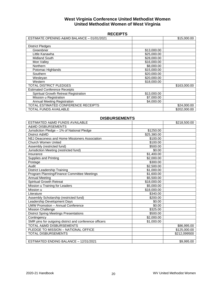### **West Virginia Conference United Methodist Women United Methodist Women of West Virginia**

| <b>RECEIPT</b> | э |
|----------------|---|
|----------------|---|

| ESTIMATE OPENING A&MD BALANCE - 01/01/2021 |             | \$15,000.00  |
|--------------------------------------------|-------------|--------------|
|                                            |             |              |
| <b>District Pledges</b>                    |             |              |
| Greenbrier                                 | \$13,000.00 |              |
| Little Kanawha                             | \$25,000.00 |              |
| <b>Midland South</b>                       | \$28,000.00 |              |
| Mon Valley                                 | \$16,000.00 |              |
| <b>Northern</b>                            | \$8,000.00  |              |
| Potomac Highlands                          | \$15,000.00 |              |
| Southern                                   | \$20,000.00 |              |
| Wesleyan                                   | \$20,000.00 |              |
| Western                                    | \$18,000.00 |              |
| TOTAL DISTRICT PLEDGES                     |             | \$163,000.00 |
| <b>Estimated Conference Receipts</b>       |             |              |
| Spiritual Growth Retreat Registration      | \$13,000.00 |              |
| Mission u Registration                     | \$7,000.00  |              |
| <b>Annual Meeting Registration</b>         | \$4,000.00  |              |
| TOTAL ESTIMATED CONFERENCE RECEIPTS        |             | \$24,000.00  |
| TOTAL FUNDS AVAILABLE                      |             | \$202,000,00 |

| UIJDUI\JLIVILIYI J                                     |             |              |
|--------------------------------------------------------|-------------|--------------|
| ESTIMATED A&MD FUNDS AVAILABLE                         |             | \$218,500.00 |
| A&MD DISBURSEMENTS                                     |             |              |
| Jurisdiction Pledge - 1% of National Pledge            | \$1250.00   |              |
| District A&MD                                          | \$25,380.00 |              |
| NEJ Deaconess and Home Missioners Association          | \$100.00    |              |
| <b>Church Women United</b>                             | \$100.00    |              |
| Assembly (restricted fund)                             | \$500.00    |              |
| Jurisdiction Meeting (restricted fund)                 | \$0.00      |              |
| Insurance                                              | \$1,400.00  |              |
| <b>Supplies and Printing</b>                           | \$2,000.00  |              |
| Postage                                                | \$300.00    |              |
| Audit                                                  | \$2,500.00  |              |
| District Leadership Training                           | \$1,000.00  |              |
| Program Planning/Finance Committee Meetings            | \$1,600.00  |              |
| <b>Annual Meeting</b>                                  | \$5,500.00  |              |
| Spiritual Growth Retreat                               | \$18,000.00 |              |
| Mission u Training for Leaders                         | \$5,000.00  |              |
| Mission u                                              | \$18,000.00 |              |
| Literature                                             | \$340.00    |              |
| Assembly Scholarship (restricted fund)                 | \$200.00    |              |
| Leadership Development Days                            | \$0.00      |              |
| <b>UMW Promotion - Annual Conference</b>               | \$0.00      |              |
| <b>Mission Challenge</b>                               | \$325.00    |              |
| <b>District Spring Meetings Presentations</b>          | \$500.00    |              |
| Contingency                                            | \$2,000.00  |              |
| SMR pins for outgoing district and conference officers | \$1.000.00  |              |
| TOTAL A&MD DISBURSEMENTS                               |             | \$86,995.00  |
| PLEDGE TO MISSION - NATIONAL OFFICE                    |             | \$125,000.00 |
| <b>TOTAL DISBURSEMENTS</b>                             |             | \$212,099500 |
|                                                        |             |              |
| ESTIMATED ENDING BALANCE - 12/31/2021                  |             | \$9,995.00   |

### **DISBURSEMENTS**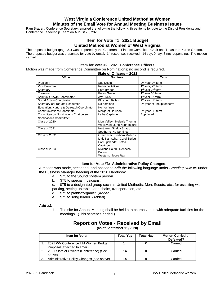# **West Virginia Conference United Methodist Women Minutes of the Email Vote for Annual Meeting Business Issues**

Pam Braden, Conference Secretary, emailed the following the following three items for vote to the District Presidents and Conference Leadership Team on August 26, 2020.

### I**tem for Vote #1**: **2021 Budget United Methodist Women of West Virginia**

The proposed budget (page 21) was prepared by the Conference Finance Committee Chair and Treasurer, Karen Grafton. The proposed budget was presented for vote by email. 14 responses received. 14 yay, 0 nay, 3 not responding. The motion carried.

#### **Item for Vote #2: 2021 Conference Officers**

Motion was made from Conference Committee on Nominations; no second is required.

|  |  | Slate of Officers - 2021 |  |
|--|--|--------------------------|--|
|--|--|--------------------------|--|

| Office:                                   | Nominee:                     | Term:                                      |
|-------------------------------------------|------------------------------|--------------------------------------------|
| President                                 | Sue Dostal                   | 2 <sup>nd</sup> year 2 <sup>nd</sup> term  |
| Vice President                            | Rebecca Adkins               | 1 <sup>st</sup> year, 2 <sup>nd</sup> term |
| Secretary                                 | Pam Braden                   | 1 <sup>st</sup> year 2 <sup>nd</sup> term  |
| Treasurer                                 | Karen Grafton                | 1 <sup>st</sup> year 3 <sup>rd</sup> term  |
| Spiritual Growth Coordinator              | Joy Hicks                    | 1 <sup>st</sup> year 1 <sup>st</sup> term  |
| Social Action Coordinator                 | <b>Elizabeth Bailes</b>      | $2nd$ year, $1st$ term                     |
| Secretary of Program Resources            | No nominee                   | 2 <sup>nd</sup> year of unexpired term     |
| Education, Nurture & Outreach Coordinator | No nominee                   |                                            |
| <b>Communications Coordinator</b>         | Margaret Harrison            | 2 <sup>nd</sup> year, 1 <sup>st</sup> term |
| Committee on Nominations Chairperson      | Letha Caplinger              | Appointed                                  |
| Nominations Committee:                    |                              |                                            |
| Class of 2020:                            | Mon Valley: Melanie Thomas   |                                            |
|                                           | Wesleyan: June Nonnenburg    |                                            |
| Class of 2021:                            | Northern: Shelby Straub      |                                            |
|                                           | Southern: No Nominee         |                                            |
| Class of 2022:                            | Greenbrier: Barbara Mullens  |                                            |
|                                           | Little Kanawha: Carol Sprigg |                                            |
|                                           | Pot Highlands: Letha         |                                            |
|                                           | Caplinger                    |                                            |
| Class of 2023:                            | Midland South: Rebecca       |                                            |
|                                           | <b>Britton</b>               |                                            |
|                                           | Western: Joyce Ray           |                                            |

#### **Item for Vote #3: Administrative Policy Changes**:

A motion was made, seconded, and passed to *edit* the following language under *Standing Rule* #5 under the Business Manager heading of the 2020 Handbook.

- a. \$75 to the Sound System person.
- b. \$75 to special musicians.

c. \$75 to a designated group such as United Methodist Men, Scouts, etc., for assisting with parking, setting up tables and chairs, transportation, etc.

- d. \$75 to pianist/organist. (Added)
- e. \$75 to song leader. (Added)

#### *Add #1:*

1. The site for Annual Meeting shall be held at a church venue with adequate facilities for the meetings. (This sentence added.)

|    | <b>Item for Vote:</b>                                              | <b>Total Yay</b> | <b>Total Nay</b> | <b>Motion Carried or</b><br>Defeated? |
|----|--------------------------------------------------------------------|------------------|------------------|---------------------------------------|
|    | 2021 WV Conference UM Women Budget<br>Proposal (attached to email) | 14               |                  | Carried                               |
| 2. | 2021 Slate of Officers (Conference) (See<br>above)                 | 14               |                  | Carried                               |
| З. | Administrative Policy Changes (see above)                          | 14               |                  | Carried                               |

# **Report on Votes - Received by Email**

**(as of September 11, 2020)**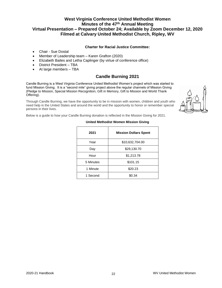# **West Virginia Conference United Methodist Women Minutes of the 47th Annual Meeting Virtual Presentation – Prepared October 24; Available by Zoom December 12, 2020 Filmed at Calvary United Methodist Church, Ripley, WV**

#### **Charter for Racial Justice Committee:**

- Chair Sue Dostal
- Member of Leadership team Karen Grafton (2020)
- Elizabeth Bailes and Letha Caplinger (by virtue of conference office)
- District President TBA
- At large members TBA

# **Candle Burning 2021**

Candle Burning is a West Virginia Conference United Methodist Women's project which was started to fund Mission Giving. It is a "second mile" giving project above the regular channels of Mission Giving (Pledge to Mission, Special Mission Recognition, Gift in Memory, Gift to Mission and World Thank Offering).

Through Candle Burning, we have the opportunity to be in mission with women, children and youth who need help in the United States and around the world and the opportunity to honor or remember special persons in their lives.



Below is a guide to how your Candle Burning donation is reflected in the Mission Giving for 2021.

| 2021      | <b>Mission Dollars Spent</b> |
|-----------|------------------------------|
| Year      | \$10,632,704.00              |
| Day       | \$29,130.70                  |
| Hour      | \$1,213.78                   |
| 5 Minutes | \$101.15                     |
| 1 Minute  | \$20.23                      |
| 1 Second  | \$0.34                       |

#### **United Methodist Women Mission Giving**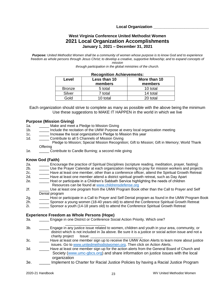**Local Organization \_\_\_\_\_\_\_\_\_\_\_\_\_\_\_\_\_\_\_\_\_\_\_\_\_**

### **West Virginia Conference United Methodist Women 2021 Local Organization Accomplishments January 1, 2021 – December 31, 2021**

*Purpose: United Methodist Women shall be a community of women whose purpose is to know God and to experience freedom as whole persons through Jesus Christ; to develop a creative, supportive fellowship; and to expand concepts of mission* 

*through participation in the global ministries of the church.* 

| Level         | Less than 10<br>members | More than 10<br>members |
|---------------|-------------------------|-------------------------|
| <b>Bronze</b> | 5 total                 | 10 total                |
| Silver        | 7 total                 | 14 total                |
| Gold          | 10 total                | 20 total                |

### **Recognition Achievements:**

Each organization should strive to complete as many as possible with the above being the minimum Use these suggestions to MAKE IT HAPPEN in the world in which we live

#### **Purpose (Mission Giving)**

- 1a. **Make and meet a Pledge to Mission Giving**
- 1b. \_\_\_\_\_\_ Include the recitation of the UMW Purpose at every local organization meeting
- 1c. **Increase the local organization's Pledge to Mission this year**
- 1d. Contribute to all 5 Channels of Mission Giving
- Pledge to Mission; Special Mission Recognition; Gift to Mission; Gift in Memory; World Thank **Offering**
- 1e. Contribute to Candle Burning; a second mile giving

#### **Know God (Faith)**

- 2a. \_\_\_\_\_ Encourage the practice of Spiritual Disciplines (scripture reading, meditation, prayer, fasting)
- 2b. \_\_\_\_\_ Use the Prayer Calendar at each organization meeting to pray for mission workers and projects
- 2c. \_\_\_\_\_\_ Have at least one member, other than a conference officer, attend the Spiritual Growth Retreat
- 2d. \_\_\_\_\_\_ Have at least one member attend a district spiritual growth retreat, such as Day Apart
- 2e. \_\_\_\_\_ Host or participate in a Children's Sabbath Service highlighting the needs of children Resources can be found at [www.childrensdefense.org](http://www.childrensdefense.org/)
- 2f. \_\_\_\_\_ Use at least one program from the UMW Program Book other than the Call to Prayer and Self Denial program
- 2g. \_\_\_\_\_\_ Host or participate in a Call to Prayer and Self Denial program as found in the UMW Program Book
- 2h. \_\_\_\_\_ Sponsor a young women (18-40 years old) to attend the Conference Spiritual Growth Retreat
- 2i. \_\_\_\_\_ Sponsor a youth (14-18 years old) to attend the Conference Spiritual Growth Retreat

#### **Experience Freedom as Whole Persons (Hope)**

- 3a. \_\_\_\_\_ Engage in one District or Conference Social Action Priority. Which one?
- \_\_\_\_\_\_\_\_\_\_\_\_\_\_\_\_\_\_\_\_ 3b. \_\_\_\_\_ Engage in any justice issue related to women, children and youth in your area, community, or district which is not included in 3a above. Be sure it is a justice or social action issue and not a charity project lssue:
- 3c. \_\_\_\_\_ Have at least one member sign up to receive the UMW Action Alerts to learn more about justice issues. Go to [www.unitedmethodistwomen.org.](http://www.unitedmethodistwomen.org/) Then click on Action Alerts.
- 3d. \_\_\_\_\_ Have at least one member sign up for the action alerts from the General Board of Church and Society [\(www.umc-gbcs.org\)](http://www.umc-gbcs.org/) and share information on justice issues with the local organization
- 3e. \_\_\_\_\_ Implement to Charter for Racial Justice Policies by having a Racial Justice Program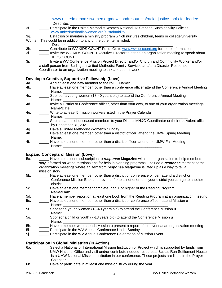[www.unitedmethodistwomen.org/downloadresources/racial-justice-tools-for-leaders](http://www.unitedmethodistwomen.org/downloadresources/racial-justice-tools-for-leaders) Describe:

3f. \_\_\_\_\_ Participate in the United Methodist Women National 13 Steps to Sustainability Policies [www.unitedmethodistwomen.org/sustainability](http://www.unitedmethodistwomen.org/sustainability)

3g. \_\_\_\_\_ Establish or maintain a ministry program which nurtures children, teens or college/university Women. This could be in addition to any of the other items listed.

- Describe:
- 3h. **Example 10 Contribute to WV KIDS COUNT Fund. Go to [www.wvkidscount.org](http://www.wvkidscount.org/) for more information**
- 3i. \_\_\_\_\_ Invite the WV KIDS COUNT Executive Director to attend an organization meeting to speak about KIDS COUNT
- 3j. \_\_\_\_\_ Invite a WV Conference Mission Project Director and/or Church and Community Worker and/or a staff person from Burlington United Methodist Family Services and/or a Disaster Response Coordinator to an organization meeting to talk about their work

#### **Develop a Creative, Supportive Fellowship (Love)**

- 4a. Add at least one new member to the roll Name:
- 4b. \_\_\_\_\_ Have at least one member, other than a conference officer attend the Conference Annual Meeting Name: \_\_\_\_\_\_\_\_\_\_\_\_\_\_\_\_\_\_\_\_\_\_\_\_\_\_\_\_\_\_\_\_\_\_\_
- 4c.  $\qquad \qquad \qquad \qquad \qquad$ Sponsor a young women (18-40 years old) to attend the Conference Annual Meeting Name:
- 4d. \_\_\_\_\_\_ Invite a District or Conference officer, other than your own, to one of your organization meetings Name/Date:
- 4e. \_\_\_\_\_ Write to at least 5 mission workers listed in the Prayer Calendar Names: \_\_\_\_\_\_\_\_\_\_\_\_\_\_\_\_\_\_\_\_\_\_\_\_\_\_\_\_\_\_\_\_\_\_\_\_\_\_\_\_\_\_\_\_\_\_\_\_\_\_\_\_\_\_\_\_\_\_\_\_\_
- 4f. \_\_\_\_\_ Submit names of deceased members to your District MN&O Coordinator or their equivalent officer by December 31, 2021
- 4g. Have a United Methodist Women's Sunday
- 4h. \_\_\_\_\_ Have at least one member, other than a district officer, attend the UMW Spring Meeting Name: \_\_\_\_\_\_\_\_\_\_\_\_\_\_\_\_\_\_\_\_\_\_\_\_\_\_\_\_\_\_\_\_\_\_\_\_\_\_\_\_\_\_\_\_\_\_\_\_\_\_
- 4i. \_\_\_\_\_ Have at least one member, other than a district officer, attend the UMW Fall Meeting Name: \_\_\_\_\_\_\_\_\_\_\_\_\_\_\_\_\_\_\_\_\_\_\_\_\_\_\_\_\_\_\_\_\_\_\_\_\_\_\_\_\_\_\_\_\_\_\_\_\_

#### **Expand Concepts of Mission (Love)**

- 5a. \_\_\_\_\_ Have at least one subscription to *response* **Magazine** within the organization to help members stay informed on world missions and for help in planning programs. Include a *response* moment at the organization meetings where an item from *response* **Magazine** is lifted up as a way to tell a mission story
- 5b. \_\_\_\_\_ Have at least one member, other than a district or conference officer, attend a district or Conference Mission Encounter event. If one is not offered in your district you can go to another district
- 5c. \_\_\_\_\_ Have at least one member complete Plan 1 or higher of the Reading Program Name/Plan:
- 5d. \_\_\_\_\_ Have a member report on at least one book from the Reading Program at an organization meeting 5e. \_\_\_\_\_ Have at least one member, other than a district or conference officer, attend Mission u
- Name: \_\_\_\_\_\_\_\_\_\_\_\_\_\_\_\_\_\_\_\_\_\_\_\_\_\_\_\_\_\_\_\_\_\_\_\_\_\_\_\_\_\_\_\_\_\_\_\_\_\_\_\_
- 5f. \_\_\_\_\_ Sponsor a young women (18-40 years old) to attend the Conference Mission u Name: \_\_\_\_\_\_\_\_\_\_\_\_\_\_\_\_\_\_\_\_\_\_\_\_\_\_\_\_\_\_\_\_\_\_\_\_\_\_\_\_\_\_
- 5g. \_\_\_\_\_\_\_\_\_ Sponsor a child or youth (7-18 years old) to attend the Conference Mission u Name: \_\_\_\_\_\_\_\_\_\_\_\_\_\_\_\_\_\_\_\_\_\_\_\_\_\_\_\_\_\_\_\_\_\_\_\_\_\_\_\_\_\_\_\_\_\_
- 5h. \_\_\_\_\_ Have a member who attends Mission u present a report of the event at an organization meeting
- 5i. \_\_\_\_\_ Participate in the WV Annual Conference Undie Sunday
- 5j. \_\_\_\_\_ Participate in the WV Annual Conference Celebration of Mission Event

#### **Participation in Global Ministries (In Action)**

- 6a. \_\_\_\_\_ Select a National or International Mission Institution or Project which is supported by funds from UMW National Office and visit and/or contribute needed resources. Scott's Run Settlement House is a UMW National Mission Institution in our conference. These projects are listed in the Prayer Calendar
- 6b. \_\_\_\_\_ Have or participate in at least one mission study during the year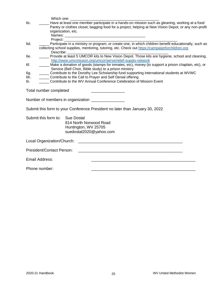|     | Which one:                                                                                                                                                                                                                   |                                                                                                                                                                                                                                |  |
|-----|------------------------------------------------------------------------------------------------------------------------------------------------------------------------------------------------------------------------------|--------------------------------------------------------------------------------------------------------------------------------------------------------------------------------------------------------------------------------|--|
| 6c. | Have at least one member participate in a hands-on mission such as gleaning, working at a food<br>Pantry or clothes closet, bagging food for a project, helping at New Vision Depot, or any non-profit<br>organization, etc. |                                                                                                                                                                                                                                |  |
|     |                                                                                                                                                                                                                              |                                                                                                                                                                                                                                |  |
|     |                                                                                                                                                                                                                              | Project: The contract of the contract of the contract of the contract of the contract of the contract of the contract of the contract of the contract of the contract of the contract of the contract of the contract of the c |  |
| 6d. |                                                                                                                                                                                                                              | Participate in a ministry or program, or create one, in which children benefit educationally, such as                                                                                                                          |  |
|     |                                                                                                                                                                                                                              | collecting school supplies, mentoring, tutoring, etc. Check out https://campaignforchildren.org<br>Describe:                                                                                                                   |  |
| 6e. |                                                                                                                                                                                                                              | Provide at least 5 UMCOR kits to New Vision Depot. Those kits are hygiene, school and cleaning.                                                                                                                                |  |
|     |                                                                                                                                                                                                                              | http://www.umcmission.org/umcor/serve/relief-supply-network                                                                                                                                                                    |  |
| 6f. |                                                                                                                                                                                                                              | Make a donation of goods (stamps for inmates, etc), money (to support a prison chaplain, etc), or<br>Service (Bell Choir, Bible study) to a prison ministry                                                                    |  |
| 6g. |                                                                                                                                                                                                                              | Contribute to the Dorothy Lee Scholarship fund supporting international students at WVWC                                                                                                                                       |  |
| 6h. |                                                                                                                                                                                                                              | Contribute to the Call to Prayer and Self Denial offering                                                                                                                                                                      |  |
| 6i. |                                                                                                                                                                                                                              | Contribute to the WV Annual Conference Celebration of Mission Event                                                                                                                                                            |  |
|     | Total number completed                                                                                                                                                                                                       |                                                                                                                                                                                                                                |  |
|     |                                                                                                                                                                                                                              | Number of members in organization ______________                                                                                                                                                                               |  |
|     |                                                                                                                                                                                                                              | Submit this form to your Conference President no later than January 30, 2022                                                                                                                                                   |  |
|     | Submit this form to: Sue Dostal                                                                                                                                                                                              |                                                                                                                                                                                                                                |  |
|     |                                                                                                                                                                                                                              | 814 North Norwood Road                                                                                                                                                                                                         |  |
|     |                                                                                                                                                                                                                              | Huntington, WV 25705                                                                                                                                                                                                           |  |
|     |                                                                                                                                                                                                                              | suedostal2020@yahoo.com                                                                                                                                                                                                        |  |
|     | Local Organization/Church:                                                                                                                                                                                                   | <u> 2000 - Jan James James Barnett, amerikan bahasa perangan perangan perangan perangan perangan perangan perangan</u>                                                                                                         |  |
|     | <b>President/Contact Person:</b>                                                                                                                                                                                             | <u> 1980 - Johann Stoff, amerikansk politik (d. 1980)</u>                                                                                                                                                                      |  |
|     | Email Address:                                                                                                                                                                                                               |                                                                                                                                                                                                                                |  |
|     | Phone number:                                                                                                                                                                                                                |                                                                                                                                                                                                                                |  |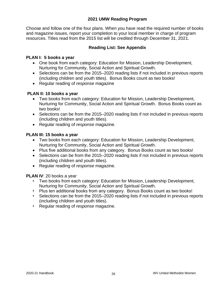# **2021 UMW Reading Program**

Choose and follow one of the four plans. When you have read the required number of books and magazine issues, report your completion to your local member in charge of program resources. Titles read from the 2015 list will be credited through December 31, 2021.

# **Reading List: See Appendix**

# **PLAN I: 5 books a year**

- One book from each category: Education for Mission, Leadership Development, Nurturing for Community, Social Action and Spiritual Growth.
- Selections can be from the 2015–2020 reading lists if not included in previous reports (including children and youth titles). Bonus Books count as two books!
- Regular reading of *response* magazine

# **PLAN II: 10 books a year**

- Two books from each category: Education for Mission, Leadership Development, Nurturing for Community, Social Action and Spiritual Growth. Bonus Books count as two books!
- Selections can be from the 2015–2020 reading lists if not included in previous reports (including children and youth titles).
- Regular reading of *response* magazine.

# **PLAN III: 15 books a year**

- Two books from each category: Education for Mission, Leadership Development, Nurturing for Community, Social Action and Spiritual Growth.
- Plus five additional books from any category. Bonus Books count as two books!
- Selections can be from the 2015–2020 reading lists if not included in previous reports (including children and youth titles).
- Regular reading of *response* magazine.

**PLAN IV**: 20 books a year

- Two books from each category: Education for Mission, Leadership Development, Nurturing for Community, Social Action and Spiritual Growth.
- Plus ten additional books from any category. Bonus Books count as two books!
- Selections can be from the 2015–2020 reading lists if not included in previous reports (including children and youth titles).
- Regular reading of *response* magazine.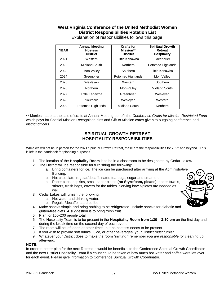# **West Virginia Conference of the United Methodist Women District Responsibilities Rotation List**

| <b>YEAR</b> | <b>Annual Meeting</b><br><b>Hostess</b><br><b>District</b> | <b>Crafts for</b><br>Mission**<br><b>District</b> | <b>Spiritual Growth</b><br><b>Retreat</b><br><b>Hospitality</b> |  |  |  |  |
|-------------|------------------------------------------------------------|---------------------------------------------------|-----------------------------------------------------------------|--|--|--|--|
| 2021        | Western                                                    | Little Kanawha                                    | Greenbrier                                                      |  |  |  |  |
| 2022        | Midland South                                              | Northern                                          | Potomac Highlands                                               |  |  |  |  |
| 2023        | Mon Valley                                                 | Southern                                          | Little Kanawha                                                  |  |  |  |  |
| 2024        | Greenbrier                                                 | Potomac Highlands                                 | Mon Valley                                                      |  |  |  |  |
| 2025        | Wesleyan                                                   | Western                                           | Southern                                                        |  |  |  |  |
| 2026        | Northern                                                   | Mon-Valley                                        | Midland South                                                   |  |  |  |  |
| 2027        | Little Kanawha                                             | Greenbrier                                        | Wesleyan                                                        |  |  |  |  |
| 2028        | Southern                                                   | Wesleyan                                          | Western                                                         |  |  |  |  |
| 2029        | Potomac Highlands                                          | Midland South                                     | Northern                                                        |  |  |  |  |

Explanation of responsibilities follows this page.

\*\* Monies made at the sale of crafts at Annual Meeting benefit the *Conference Crafts for Mission Restricted Fund* which pays for Special Mission Recognition pins and Gift to Mission cards given to outgoing conference and district officers.

# **SPIRITUAL GROWTH RETREAT HOSPITALITY RESPONSIBILITIES**

While we will not be in person for the 2021 Spiritual Growth Retreat, these are the responsibilities for 2022 and beyond. This is left in the handbook for planning purposes.

- 1. The location of the **Hospitality Room** is to be in a classroom to be designated by Cedar Lakes**.**
- 2. The District will be responsible for furnishing the following:
	- a. Bring containers for ice. The ice can be purchased after arriving at the Administrative Building.
	- b. Hot chocolate, regular/decaffeinated tea bags, sugar and creamer.
	- c. Paper cups, napkins, small paper plates **(no Styrofoam, please)**, paper towels, stirrers, trash bags, covers for the tables. Serving bowls/plates are needed as well.
- 3. Cedar Lakes will furnish the following:
	- a. Hot water and drinking water.
	- b. Regular/decaffeinated coffee.
- 4. Make snacks simple and bring nothing to be refrigerated. Include snacks for diabetic and gluten-free diets. A suggestion is to bring fresh fruit.
- 5. Plan for 150-200 people total.
- 6. The Hospitality Team is to be present in the **Hospitality Room from 1:30 – 3:30 pm** on the first day and during the break time on the second day of each event.
- 7. The room will be left open at other times, but no hostess needs to be present.
- 8. If you wish to provide soft drinks, juice, or other beverages, your District *must* furnish.
- 9. Whatever your District does to make the room "inviting," remember *you are responsible* for cleaning up afterward.

#### **NOTE:**

In order to better plan for the next Retreat, it would be beneficial to the Conference Spiritual Growth Coordinator and the next District Hospitality Team if a count could be taken of how much hot water and coffee were left over for each event. Please give information to Conference Spiritual Growth Coordinator.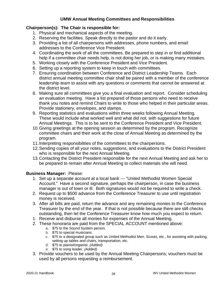# **UMW Annual Meeting Committees and Responsibilities**

# **Chairperson(s): The Chair is responsible for:**

- 1. Physical and mechanical aspects of the meeting.
- 2. Reserving the facilities. Speak directly to the pastor and do it early.
- 3. Providing a list of all chairpersons with addresses, phone numbers, and email addresses to the Conference Vice President.
- 4. Coordinating the work of all the committees. Be prepared to step in or find additional help if a committee chair needs help, is not doing her job, or is making many mistakes.
- 5. Working closely with the Conference President and Vice President.
- 6. Setting up a reporting system to keep in touch with committees.
- 7. Ensuring coordination between Conference and District Leadership Teams. Each district annual meeting committee chair shall be paired with a member of the conference leadership team to assist with any questions or comments that cannot be answered at the district level.
- 8. Making sure all committees give you a final evaluation and report. Consider scheduling an evaluation meeting. Have a list prepared of those persons who need to receive thank you notes and remind Chairs to write to those who helped in their particular areas. Provide stationery, envelopes, and stamps.
- 9. Reporting statistics and evaluations within three weeks following Annual Meeting. These would include what worked well and what did not, with suggestions for future Annual Meetings. This is to be sent to the Conference President and Vice President.
- 10.Giving greetings at the opening session as determined by the program. Recognize committee chairs and their work at the close of Annual Meeting as determined by the program.
- 11.Interpreting responsibilities of the committees to the chairpersons.
- 12.Sending copies of all your notes, suggestions, and evaluations to the District President who is responsible for the next Annual Meeting.
- 13.Contacting the District President responsible for the next Annual Meeting and ask her to be prepared to remain after Annual Meeting to collect materials she will need.

# **Business Manager:** Please:

- 1. Set up a separate account at a local bank --- "United Methodist Women Special Account." Have a second signature, perhaps the chairperson, in case the business manager is out of town or ill. Both signatures would not be required to write a check.
- 2. Request up to \$500 advance from the Conference Treasurer to use until registration money is received.
- 3. After all bills are paid, return the advance and any remaining monies to the Conference Treasurer by the end of the year. If that is not possible because there are still checks outstanding, then let the Conference Treasurer know how much you expect to return.
- 1. Receive and disburse all monies for expenses of the Annual Meeting.
- 2. These honoraria are paid from the SPECIAL ACCOUNT mentioned above:
	- a. \$75 to the Sound System person.
	- b. \$75 to special musicians.
	- c. \$75 to a designated group such as United Methodist Men, Scouts, etc., for assisting with parking, setting up tables and chairs, transportation, etc.
	- d. \$75 to pianist/organist. *(Added)*
	- *e.* \$75 to song leader. *(Added)*
- 3. Provide vouchers to be used by the Annual Meeting Chairpersons; vouchers must be used by all persons requesting a reimbursement.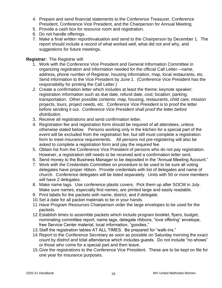- 4. Prepare and send financial statements to the Conference Treasurer, Conference President, Conference Vice President, and the Chairperson for Annual Meeting.
- 5. Provide a cash box for resource room and registration.
- 6. Do not handle offerings.
- 7. Make a final written report/evaluation and send to the Chairperson by December 1. The report should include a record of what worked well, what did not and why, and suggestions for future meetings.

# **Registrar:** The Registrar will:

- 1. Work with the Conference Vice President and General Information Committee in organizing registration and information needed for the official Call Letter---name, address, phone number of Registrar, housing information, map, local restaurants, etc. Send information to the Vice President by June 1. (Conference Vice President has the responsibility for printing the Call Letter.)
- *2.* Create a confirmation letter which includes at least the theme; keynote speaker; registration information such as due date, refund date, cost; location; parking; transportation. Other possible contents: map, housing, restaurants, child care, mission projects, tours, project needs, etc. Conference Vice President is to proof the letter before sending it out. *Conference Vice President shall proof the letter before distribution.*
- 3. Receive all registrations and send confirmation letter.
- 4. Registration fee and registration form should be required of all attendees, unless otherwise stated below. Persons working only in the kitchen for a special part of the event will be excluded from the registration fee, but still must complete a registration form to meet insurance requirements. All persons not pre-registering will also be asked to complete a registration form and pay the required fee.
- 5. Obtain list from the Conference Vice President of persons who do not pay registration. However, a registration still needs to be received and a confirmation letter sent.
- 6. Send money to the Business Manager to be deposited in the "Annual Meeting Account."
- 7. Work with the Credentials Committee on procedure to be used to be sure all voting delegates have proper ribbon. Provide credentials with list of delegates and name of church. Conference delegates will be listed separately. Units with 50 or more members will have 2 delegates.
- 8. Make name tags. Use conference plastic covers. Pick them up after SOCM in July. Make sure names, especially first names, are printed large and easily readable.
- 9. Print labels for the packets with name, district, and if delegate.
- 10.Set a date for all packet materials to be in your hands.
- 11.Have Program Resources Chairperson order the large envelopes to be used for the packets.
- 12.Establish times to assemble packets which include program booklet, flyers, budget, nominating committee report, name tags, delegate ribbons, "love offering" envelope, free Service Center material, local information, "goodies."
- 13.Staff the registration tables AT ALL TIMES. Be prepared for "walk-ins."
- 14.Report to the Conference Secretary as soon as possible on Saturday morning the exact count by district and total attendance which includes guests. Do not include "no-shows" or those who come for a special part and then leave.
- 15.Give the registrations to the Conference Vice President. These are to be kept on file for one year for insurance purposes.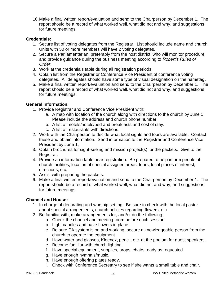16.Make a final written report/evaluation and send to the Chairperson by December 1. The report should be a record of what worked well, what did not and why, and suggestions for future meetings.

# **Credentials:**

- 1. Secure list of voting delegates from the Registrar. List should include name and church. Units with 50 or more members will have 2 voting delegates.
- 2. Secure a Parliamentarian, preferably from the host district, who will monitor procedure and provide guidance during the business meeting according to *Robert's Rules of Order*.
- 3. Work at the credentials table during all registration periods.
- 4. Obtain list from the Registrar or Conference Vice President of conference voting delegates. All delegates should have some type of visual designation on the nametag.
- 5. Make a final written report/evaluation and send to the Chairperson by December 1. The report should be a record of what worked well, what did not and why, and suggestions for future meetings.

# **General Information:**

- 1. Provide Registrar and Conference Vice President with:
	- a. A map with location of the church along with directions to the church by June 1. Please include the address and church phone number.
	- b. A list of motels/hotels/bed and breakfasts and cost of stay.
	- c. A list of restaurants with directions.
- 2. Work with the Chairperson to decide what local sights and tours are available. Contact these and obtain information. Send information to the Registrar and Conference Vice President by June 1,
- 3. Obtain brochures for sight-seeing and mission project(s) for the packets. Give to the Registrar.
- 4. Provide an information table near registration. Be prepared to help inform people of church facilities, location of special assigned areas, tours, local places of interest, directions, etc.
- 5. Assist with preparing the packets.
- 6. Make a final written report/evaluation and send to the Chairperson by December 1. The report should be a record of what worked well, what did not and why, and suggestions for future meetings.

# **Chancel and House:**

- 1. In charge of decorating and worship setting. Be sure to check with the local pastor about special arrangements, church policies regarding flowers, etc.
- 2. Be familiar with, make arrangements for, and/or do the following:
	- a. Check the chancel and meeting room before each session.
	- b. Light candles and have flowers in place.
	- c. Be sure PA system is on and working, secure a knowledgeable person from the church to operate the equipment.
	- d. Have water and glasses, Kleenex, pencil, etc. at the podium for guest speakers.
	- e. Become familiar with church lighting.
	- f. Have special equipment, supplies, props, chairs ready as requested.
	- g. Have enough hymnals/music.
	- h. Have enough offering plates ready.
	- i. Check with Conference Secretary to see if she wants a small table and chair.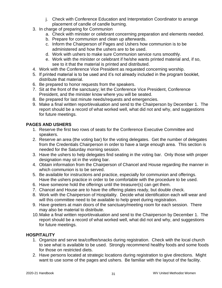- j. Check with Conference Education and Interpretation Coordinator to arrange placement of candle of candle burning.
- 3. In charge of preparing for Communion
	- a. Check with minister or celebrant concerning preparation and elements needed.
	- b. Prepare for communion and clean up afterwards.
	- c. Inform the Chairperson of Pages and Ushers how communion is to be administered and how the ushers are to be used.
	- d. Work with ushers to make sure Communion service runs smoothly.
	- e. Work with the minister or celebrant if he/she wants printed material and, if so, see to it that the material is printed and distributed.
- 4. Work with the Conference Vice President as requested concerning worship.
- 5. If printed material is to be used and it's not already included in the program booklet, distribute that material.
- 6. Be prepared to honor requests from the speakers.
- 7. Sit at the front of the sanctuary; let the Conference Vice President, Conference President, and the minister know where you will be seated.
- 8. Be prepared for last minute needs/requests and emergencies.
- 9. Make a final written report/evaluation and send to the Chairperson by December 1. The report should be a record of what worked well, what did not and why, and suggestions for future meetings.

# **PAGES AND USHERS**

- 1. Reserve the first two rows of seats for the Conference Executive Committee and speakers.
- 2. Reserve an area (the voting bar) for the voting delegates. Get the number of delegates from the Credentials Chairperson in order to have a large enough area. This section is needed for the Saturday morning session.
- 3. Have the ushers to help delegates find seating in the voting bar. Only those with proper designation may sit in the voting bar.
- 4. Obtain information from the Chairperson of Chancel and House regarding the manner in which communion is to be served.
- 5. Be available for instructions and practice, especially for communion and offerings. Have the ushers practice in order to be comfortable with the procedure to be used.
- 6. Have someone hold the offerings until the treasurer(s) can get them.
- 7. Chancel and House are to have the offering plates ready, but double check.
- 8. Work with the Chairperson of Hospitality. Decide what identification each will wear and will this committee need to be available to help greet during registration.
- 9. Have greeters at main doors of the sanctuary/meeting room for each session. There may also be material to distribute.
- 10.Make a final written report/evaluation and send to the Chairperson by December 1. The report should be a record of what worked well, what did not and why, and suggestions for future meetings.

# **HOSPITALITY**

- 1. Organize and serve tea/coffee/snacks during registration. Check with the local church to see what is available to be used. Strongly recommend healthy foods and some foods for those on restricted diets.
- 2. Have persons located at strategic locations during registration to give directions. Might want to use some of the pages and ushers. Be familiar with the layout of the facility.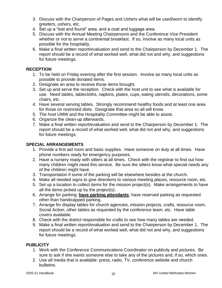- 3. Discuss with the Chairperson of Pages and Ushers what will be used/worn to identify greeters, ushers, etc.
- 4. Set up a "lost and found" area, and a coat and luggage area.
- 5. Discuss with the Annual Meeting Chairpersons and the Conference Vice President whether or not to serve a continental breakfast. If so, involve as many local units as possible for the hospitality.
- 6. Make a final written report/evaluation and send to the Chairperson by December 1. The report should be a record of what worked well, what did not and why, and suggestions for future meetings.

# **RECEPTION**

- 1. To be held on Friday evening after the first session. Involve as many local units as possible to provide donated items.
- 2. Designate an area to receive those items brought.
- 3. Set up and serve the reception. Check with the host unit to see what is available for use. Need tables, tablecloths, napkins, plates, cups, eating utensils, decorations, some chairs, etc.
- 4. Have several serving tables. Strongly recommend healthy foods and at least one area for those on restricted diets. Designate that area so all will know.
- 5. The host UMW and the Hospitality Committee might be able to assist.
- 6. Organize the clean-up afterwards.
- 7. Make a final written report/evaluation and send to the Chairperson by December 1. The report should be a record of what worked well, what did not and why, and suggestions for future meetings.

# **SPECIAL ARRANGEMENTS**

- 1. Provide a first aid room and basic supplies. Have someone on duty at all times. Have phone numbers ready for emergency purposes.
- 2. Have a nursery ready with sitters at all times. Check with the registrar to find out how many children might need this service. Be sure the sitters know what special needs any of the children might have.
- 3. Transportation if some of the parking will be elsewhere besides at the church.
- 4. Make all needed signs to give directions to various meeting places, resource room, etc.
- 5. Set up a location to collect items for the mission project(s). Make arrangements to have all the items picked up by the project(s).
- 6. Arrange for parking; **have parking attendants**; have reserved parking as requested other than handicapped parking.
- 7. Arrange for display tables for church agencies, mission projects, crafts, resource room, Social Action, other tables as requested by the conference team, etc. Have table covers available.
- 8. Check with the district responsible for crafts to see how many tables are needed.
- 9. Make a final written report/evaluation and send to the Chairperson by December 1. The report should be a record of what worked well, what did not and why, and suggestions for future meetings.

### **PUBLICITY**

- 1. Work with the Conference Communications Coordinator on publicity and pictures. Be sure to ask if she wants someone else to take any of the pictures and, if so, which ones.
- 2. Use all media that is available: press, radio, TV, conference website and church bulletins.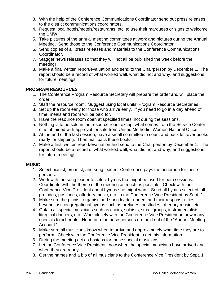- 3. With the help of the Conference Communications Coordinator send out press releases to the district communications coordinators.
- 4. Request local hotels/motels/restaurants, etc. to use their marquees or signs to welcome the UMW.
- 5. Take pictures of the annual meeting committees at work and pictures during the Annual Meeting. Send those to the Conference Communications Coordinator.
- 6. Send copies of all press releases and materials to the Conference Communications Coordinator.
- 7. Stagger news releases so that they will not all be published the week before the meeting!
- 8. Make a final written report/evaluation and send to the Chairperson by December 1. The report should be a record of what worked well, what did not and why, and suggestions for future meetings.

# **PROGRAM RESOURCES**

- 1. The Conference Program Resource Secretary will prepare the order and will place the order.
- 2. Staff the resource room. Suggest using local units' Program Resource Secretaries.
- 3. Set up the room early for those who arrive early. If you need to go in a day ahead of time, meals and room will be paid for.
- 4. Have the resource room open at specified times; not during the sessions.
- 5. Nothing is to be sold in the resource room except what comes from the Service Center or is obtained with approval for sale from United Methodist Women National Office.
- 6. At the end of the last session, have a small committee to count and pack left over books ready for shipping. Then mail back these books.
- 7. Make a final written report/evaluation and send to the Chairperson by December 1. The report should be a record of what worked well, what did not and why, and suggestions for future meetings.

# **MUSIC**

- 1. Select pianist, organist, and song leader. Conference pays the honoraria for these persons.
- 2. Work with the song leader to select hymns that might be used for both sessions. Coordinate with the theme of the meeting as much as possible. Check with the Conference Vice President about hymns she might want. Send all hymns selected, all preludes, postludes, offertory music, etc. to the Conference Vice President by Sept. 1.
- 3. Make sure the pianist, organist, and song leader understand their responsibilities beyond just congregational hymns such as preludes, postludes, offertory music, etc.
- 4. Obtain all special musicians such as choirs, soloists, small groups, instrumentalists, liturgical dancers, etc. Work closely with the Conference Vice President on how many specials to schedule. Honoraria for these persons are paid out of the "Annual Meeting Account."
- 5. Make sure all musicians know when to arrive and approximately what time they are to perform. Check with the Conference Vice President to get this information.
- 6. During the meeting act as hostess for these special musicians.
- 7. Let the Conference Vice President know when the special musicians have arrived and when they are ready.
- 8. Get the names and a bio of all musicians to the Conference Vice President by Sept. 1.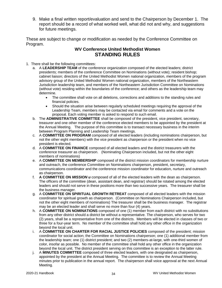9. Make a final written report/evaluation and send to the Chairperson by December 1. The report should be a record of what worked well, what did not and why, and suggestions for future meetings.

These are subject to change or modification as needed by the Conference Committee on Program.

# **WV Conference United Methodist Women STANDING RULES**

- 1. There shall be the following committees:
	- a. A **LEADERSHIP TEAM** of the conference organization composed of the elected leaders; district presidents; members of the conference Committee on Nominations (without vote); resident bishop; cabinet liaison; directors of the United Methodist Women national organization, members of the program advisory group of the United Methodist Women national organization, members of the Northeastern Jurisdiction leadership team, and members of the Northeastern Jurisdiction Committee on Nominations (without vote) residing within the boundaries of the conference; and others as the leadership team may determine.
		- The committee shall vote on all deletions, corrections and additions to the standing rules and financial policies.
		- Should the situation arise between regularly scheduled meetings requiring the approval of the Leadership Team, members may be contacted via email for comments and a vote on the proposal. Each voting member is asked to respond to such email.
	- b. The **ADMINISTRATIVE COMMITTEE** shall be composed of the president, vice president, secretary, treasurer and one other member of the conference elected members to be appointed by the president at the Annual Meeting. The purpose of this committee is to transact necessary business in the interim between Program Planning and Leadership Team meetings.
	- c. A **COMMITTEE ON PROGRAM** composed of all elected leaders (including nominations chairperson, but not the other eight members) with the vice president as chairperson or the president when no vice president is elected.
	- d. A **COMMITTEE ON FINANCE** composed of all elected leaders and the district treasurers with the conference treasurer as chairperson. (Nominating Chairperson included, but not the other eight members of nominations)
	- e. A **COMMITTEE ON MEMBERSHIP** composed of the district mission coordinators for membership nurture and outreach, the conference Committee on Nominations chairperson, president, secretary, communications coordinator and the conference mission coordinator for education, nurture and outreach as chairperson.
	- f. **A COMMITTEE ON** *MISSION u* composed of all of the elected leaders with the dean as chairperson. The officers of the committee (dean, assistant dean, and registrar) should be rotated among the elected leaders and should not serve in these positions more than two successive years. The treasurer shall be the business manager.
	- g. A **COMMITTEE ON SPIRITUAL GROWTH RETREAT** composed of all elected leaders with the mission coordinator for spiritual growth as chairperson. (Committee on Nominations Chairperson included, but not the other eight members of nominations) The treasurer shall be the business manager. The registrar may be an elected leader and shall serve no more than four (4) years.
	- h. A **COMMITTEE ON NOMINATIONS** composed of one (1) member from each district with no substitutions from any other district should a district be without a representative. The chairperson, who serves for two (2) years, shall be a representative from one of the districts. Members will be elected in classes of two or three for a four-year term. No member of the committee shall hold any other office in the organization beyond the local unit.
	- i. A **COMMITTEE ON CHARTER FOR RACIAL JUSTICE POLICIES** composed of the president; mission coordinator for social action; the Committee on Nominations chairperson; one (1) additional member from the leadership team; one (1) district president; and two (2) members-at-large, with one-third women of color, insofar as possible. No member of the committee shall hold any other office in the organization beyond the local unit. The district president serving on this committee is an exception to the latter rule.
	- j. A **MINUTES COMMITTEE** composed of three elected leaders, with one designated as chairperson, appointed by the president at the Annual Meeting. The committee is to review the Annual Meeting minutes prior to publication in the annual report. The chairperson shall voice approval at the next Annual Meeting.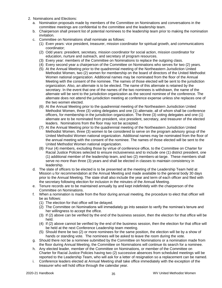- 2. Nominations and Elections:
	- a. Nomination proposals made by members of the Committee on Nominations and conversations in the committee meetings are confidential to the committee and the leadership team.
	- b. Chairperson shall present list of potential nominees to the leadership team prior to making the nomination invitation.
	- c. Committee on Nominations shall nominate as follows:
		- (1) Even years: vice president, treasurer, mission coordinator for spiritual growth, and communications coordinator;
		- (2) Odd years: president, secretary, mission coordinator for social action, mission coordinator for education, nurture and outreach, and secretary of program resources.
		- (3) Every year: members of the Committee on Nominations to replace the outgoing class.
		- (4) Every second year a chairperson of the Committee on Nominations who serves for two (2) years.
		- (5) At the Annual Meeting prior to the quadrennial meeting of the Northeastern Jurisdiction United Methodist Women, two (2) women for membership on the board of directors of the United Methodist Women national organization. Additional names may be nominated from the floor of the Annual Meeting with the consent of the nominee. The names of those elected will be sent to the jurisdiction organization. Also, an alternate is to be elected. The name of this alternate is retained by the secretary. In the event that one of the names of the two nominees is withdrawn, the name of the alternate will be sent to the jurisdiction organization as the second nominee of the conference. The alternate does not attend the jurisdiction meeting at conference expense unless she replaces one of the two women elected.
		- (6) At the Annual Meeting prior to the quadrennial meeting of the Northeastern Jurisdiction United Methodist Women, three (3) voting delegates and one (1) alternate, all of whom shall be conference officers, for membership in the jurisdiction organization. The three (3) voting delegates and one (1) alternate are to be nominated from president, vice president, secretary, and treasurer of the elected leaders. Nominations from the floor may not be accepted.
		- (7) At the Annual Meeting prior to the quadrennial meeting of the Northeastern Jurisdiction United Methodist Women, three (3) women to be considered to serve on the program advisory group of the United Methodist Women national organization. Additional names may be nominated from the floor of the annual meeting with the consent of the nominee. The names of those elected will be sent to the United Methodist Women national organization.
		- (8) Four (4) members, excluding those by virtue of conference office, to the Committee on Charter for Racial Justice Policies selected to ensure inclusiveness and to include one (1) district president, one (1) additional member of the leadership team, and two (2) members-at-large. These members shall serve no more than three (3) years and shall be elected in classes to maintain consistency in leadership.
	- d. The slate of officers to be elected is to be presented at the meeting of the Leadership Team held at Mission u for recommendation at the Annual Meeting and made available to the general body 30 days prior to the Annual Meeting. The slate shall also include the year and term of each officer and filed with the secretary following election for inclusion in the minutes of the Annual Meeting.
	- e. Tenure records are to be maintained annually by and kept indefinitely with the chairperson of the Committee on Nominations.
	- f. When a nomination is made from the floor during annual meeting, the procedure to elect that officer will be as follows:
		- (1) The election for that office will be delayed.
		- (2) The Committee on Nominations will immediately go into session to verify the nominee's tenure and her willingness to accept the office.
		- (3) If (2) above can be verified by the end of the business session, then the election for that office will be held.
		- (4) If (2) above cannot be verified by the end of the business session, then the election for that office will be held at the next Conference Leadership team meeting.
		- (5) Should there be two (2) or more nominees for the same position, the election will be by a show of hands or standing vote. The nominees will be asked to leave the room during the vote.
	- g. Should there not be a nominee submitted by the Committee on Nominations or a nomination made from the floor during Annual Meeting, the Committee on Nominations will continue its search for a nominee.
	- h. Any elected leader, member of the Committee on Nominations, or member of the Committee on Charter for Racial Justice Policies having two (2) successive absences from scheduled meetings will be reported to the Leadership Team, who will ask for a letter of resignation so a replacement can be named.
	- i. Conference leaders elected at Annual Meeting shall take office immediately with the exception of the treasurer who will hold office through the calendar year.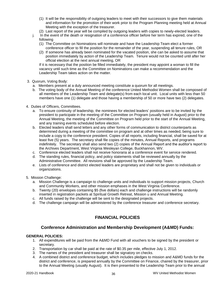- (1) It will be the responsibility of outgoing leaders to meet with their successors to give them materials and information for the promotion of their work prior to the Program Planning meeting held at Annual Meeting with the exception of the treasurer.
- (2) Last report of the year will be compiled by outgoing leaders with copies to newly-elected leaders.
- j. In the event of the death or resignation of a conference officer before her term has expired, one of the following
	- (1) The Committee on Nominations will nominate and have the Leadership Team elect a former conference officer to fill the position for the remainder of the year, suspending all tenure rules, OR
	- (2) If someone has already been nominated for the vacated position, she can be asked to assume that position immediately by action of the Leadership Team. Tenure would not be counted until after her official election at the next annual meeting, OR

If it is necessary that the position be filled immediately, the president may appoint a woman to fill the vacancy until such time as the Committee on Nominations can make a recommendation and the Leadership Team takes action on the matter.

- 3. Quorum, Voting Body:
	- a. Members present at a duly announced meeting constitute a quorum for all meetings.
	- b. The voting body of the Annual Meeting of the conference United Methodist Women shall be composed of all members of the Leadership Team and delegate(s) from each local unit. Local units with less than 50 members have one (1) delegate and those having a membership of 50 or more have two (2) delegates.
- 4. Duties of Officers, Committees.
	- a. To ensure continuity of leadership, the nominees for elected leaders' positions are to be invited by the president to participate in the meeting of the Committee on Program (usually held in August) prior to the Annual Meeting, the meeting of the Committee on Program held prior to the start of the Annual Meeting, and any training events scheduled before election.
	- b. Elected leaders shall send letters and any other forms of communication to district counterparts as determined during a meeting of the committee on program and at other times as needed, being sure to include a copy to the conference president. Copies of all reports, including financial, shall be saved for at least five (5) years. The secretary shall file copies of the minutes, Annual Reports, and programs indefinitely. The secretary shall also send two (2) copies of the Annual Report and the auditor's report to the Archives Department, West Virginia Wesleyan College, Buckhannon, WV.
	- c. Conference elected leaders shall not receive honoraria at a conference event for service rendered.
	- d. The standing rules, financial policy, and policy statements shall be reviewed annually by the Administrative Committee. All revisions shall be approved by the Leadership Team.
	- e. Lists of conference and district elected leaders are proprietary and shall not be given to individuals or organizations.
- 5. Mission Challenge:
	- a. Mission Challenge is a campaign to challenge units and individuals to support mission projects, Church and Community Workers, and other mission emphases in the West Virginia Conference.
	- b. Twenty (20) envelopes containing \$5 (five dollars) each and challenge instructions will be randomly inserted in registration packets at Spiritual Growth Retreat, Mission u and Annual Meeting.
	- c. All funds raised by the challenge will be sent to the designated projects.
	- d. The challenge campaign will be administered by the conference treasurer and conference secretary.

# **FINANCIAL POLICIES**

### **Conference Administration and Membership Development (A&MD) Funds:**

#### **GENERAL POLICIES:**

- 1. All expenditures will be paid from the A&MD Fund with all vouchers to be signed by the president or secretary.
- 2. Transportation by car shall be paid at the rate of \$0.35 per mile, effective July 1, 2012.
- 3. The names of the president and treasurer shall be signatory on checks.
- 4. A combined district and conference budget, which includes pledges to mission and A&MD funds for the district and conference, is prepared annually by the Committee on Finance, chaired by the treasurer, prior to the Annual Meeting (usually August). It is then presented to the Leadership Team prior to the annual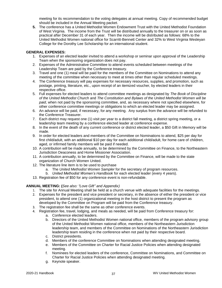meeting for its recommendation to the voting delegates at annual meeting. Copy of recommended budget should be included in the Annual Meeting packet.

**5.** The conference has a United Methodist Women Endowment Trust with the United Methodist Foundation of West Virginia. The income from the Trust will be distributed annually to the treasurer on or as soon as practical after December 31 of each year. Then the income will be distributed as follows: 68% to the United Methodist Women national office for Scarritt-Bennett Center and 32% to West Virginia Wesleyan College for the Dorothy Lee Scholarship for an international student.

#### **GENERAL EXPENSES:**

- 1. Expenses of an elected leader invited to attend a workshop or seminar upon approval of the Leadership Team when the sponsoring organization does not pay.
- 2. Expenses of the Administrative Committee to attend events scheduled between meetings of the Leadership Team are paid by the Conference treasury.
- 3. Travel and one (1) meal will be paid for the members of the Committee on Nominations to attend any meeting of the committee when necessary to meet at times other than regular scheduled meetings.
- 4. The Conference treasury will pay expenses for necessary resources, supplies, and promotion, such as postage, printing, literature, etc., upon receipt of an itemized voucher, by elected leaders in their respective office.
- 5. Full expenses for elected leaders to attend committee meetings as designated by *The Book of Discipline of the United Methodist Church* and *The Constitution and Bylaws of the United Methodist Women will be paid*, when not paid by the sponsoring committee, and, as necessary where not specified elsewhere, for other conference committee meetings or obligations to which an elected leader may be assigned.
- 6. An advance will be paid, if necessary, for any meeting. Any surplus from the advance will be refunded to the Conference Treasurer.
- 7. Each district may request one (1) visit per year to a district fall meeting, a district spring meeting, or a leadership team meeting by a conference elected leader at conference expense.
- 8. In the event of the death of any current conference or district elected leader, a \$50 Gift in Memory will be made.
- 9. In order for elected leaders and members of the Committee on Nominations to attend, \$25 per day for first child/adult, with an additional \$10 per day for each additional child/adult, for home care of children, aged, or infirmed family members will be paid if needed.
- 10. A contribution will be made annually, to be determined by the Committee on Finance, to the Northeastern Jurisdiction Deaconess and Home Missioner Association.
- 11. A contribution annually, to be determined by the Committee on Finance, will be made to the state organization of Church Women United.
- 12. The literature line item is to be used to purchase
	- a. The *United Methodist Women Sampler* for the secretary of program resources.
	- b. *United Methodist Women's Handbook* for each elected leader (every 4 years).
- 13. Registration fee of \$50 for any conference event is non-refundable.

#### **ANNUAL MEETING: (***See also: "Love Gift" and Appendix)*

- 1. The site for Annual Meeting shall be held at a church venue with adequate facilities for the meetings.
- 2. Expenses for the president and vice president or secretary, in the absence of either the president or vice president, to attend one (1) organizational meeting in the host district to present the program as developed by the Committee on Program will be paid from the Conference treasury.
- 3. The registration fee shall be the same as other conference events.
- 4. Registration fee, travel, lodging, and meals as needed, will be paid from Conference treasury for:
	- a. Conference elected leaders.
	- b. Directors of the United Methodist Women national office, members of the program advisory group of the United Methodist Women national office, members of the Northeastern Jurisdiction leadership team, and members of the Committee on Nominations of the Northeastern Jurisdiction leadership team residing in the conference when not paid by their respective board.
	- c. District presidents.
	- d. Members of the conference Committee on Nominations when attending designated meeting.
	- e. Members of the Committee on Charter for Racial Justice Policies when attending designated meeting.
	- f. Nominees for elected leaders of the conference, Committee on Nominations, and Committee on Charter for Racial Justice Policies when attending designated meeting.
	- g. Keynote speaker.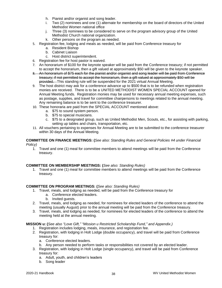- h. Pianist and/or organist and song leader.
- i. Two (2) nominees and one (1) alternate for membership on the board of directors of the United Methodist Women national office
- j. Three (3) nominees to be considered to serve on the program advisory group of the United Methodist Church national organization.
- k. Other persons on the program as needed.
- 5. Registration fee, lodging and meals as needed, will be paid from Conference treasury for
	- a. Resident Bishop
	- b. Cabinet Liaison
	- c. Host district superintendent.
- 6. Registration fee for host pastor is waived.
- 7. An honorarium of \$100 for the keynote speaker will be paid from the Conference treasury; if not permitted to accept the honorarium, then a gift valued at approximately \$50 will be given to the keynote speaker.
- 8. An honorarium of \$75 each for the pianist and/or organist and song leader will be paid from Conference treasury; if not permitted to accept the honorarium, then a gift valued at approximately \$50 will be provided. This standing rule will be suspended for the 2021 virtual Annual Meeting.
- 9. The host district may ask for a conference advance up to \$500 that is to be refunded when registration monies are received. There is to be a UNITED METHODIST WOMEN SPECIAL ACCOUNT opened for Annual Meeting funds. Registration monies may be used for necessary annual meeting expenses, such as postage, supplies, and travel for committee chairpersons to meetings related to the annual meeting. Any remaining balance is to be sent to the conference treasurer.
- 10. These honoraria are paid from the SPECIAL ACCOUNT mentioned above:
	- a. \$75 to sound system person.
	- b. \$75 to special musicians.
	- c. \$75 to a designated group, such as United Methodist Men, Scouts, etc., for assisting with parking, setting up tables and chairs, transportation, etc.
- 11. All vouchers pertaining to expenses for Annual Meeting are to be submitted to the conference treasurer within 30 days of the Annual Meeting.

#### **COMMITTEE ON FINANCE MEETINGS: (***See also: Standing Rules and General Policies #4 under Financial Policy)*

1. Travel and one (1) meal for committee members to attend meetings will be paid from the Conference treasury.

#### **COMMITTEE ON MEMBERSHIP MEETINGS: (***See also: Standing Rules)*

1. Travel and one (1) meal for committee members to attend meetings will be paid from the Conference treasury.

#### **COMMITTEE ON PROGRAM MEETINGS: (***See also: Standing Rules)*

- 1. Travel, meals, and lodging as needed, will be paid from the Conference treasury for
	- a. Conference elected leaders.
	- b. Invited guests.
- 2. Travel, meals, and lodging as needed, for nominees for elected leaders of the conference to attend the meeting (usually August) prior to the annual meeting will be paid from the Conference treasury.
- 3. Travel, meals, and lodging as needed, for nominees for elected leaders of the conference to attend the meeting held at the annual meeting.

#### **MISSION u: (***See also "Love Gift," "Mission u Restricted Scholarship Fund," and Appendix.)*

- 1. Registration includes lodging, meals, insurance, and registration fee.
- 2. Registration, with lodging in Holt Lodge (double occupancy), and travel will be paid from Conference treasury for:
	- a. Conference elected leaders.
	- b. Any person needed to perform tasks or responsibilities not covered by an elected leader.
- 3. Registration, with lodging in Holt Lodge (single occupancy), and travel will be paid from Conference treasury for:
	- a. Adult, youth, and children's leaders
	- b. Song leader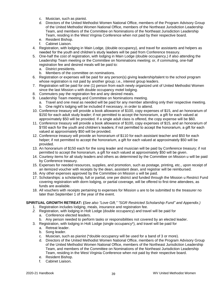- c. Musician, such as pianist.
- d. Directors of the United Methodist Women National Office, members of the Program Advisory Group of the United Methodist Women National Office, members of the Northeast Jurisdiction Leadership Team, and members of the Committee on Nominations of the Northeast Jurisdiction Leadership Team, residing in the West Virginia Conference when not paid by their respective board.
- e. Resident Bishop.
- f. Cabinet Liaison.
- 4. Registration, with lodging in Main Lodge, (double occupancy), and travel for assistants and helpers as needed for the youth and children's study leaders will be paid from Conference treasury.
- 5. One-half the cost of registration, with lodging in Main Lodge (double occupancy,) if also attending the Leadership Team meeting or the Committee on Nominations meeting; or, if commuting, one-half registration fee and desired meals will be paid to:
	- a. District presidents.
	- b. Members of the committee on nominations.
- 6. Registration or expenses will be paid for any person(s) giving leadership/talent to the school program whose registration is not paid by another group; i.e., interest group leaders.
- 7. Registration will be paid for one (1) person from each newly organized unit of United Methodist Women since the last Mission u with double occupancy motel lodging.
- 8. Commuters pay the registration fee and any desired meals.
- 9. Leadership Team meeting and Committee on Nominations meeting.
	- a. Travel and one meal as needed will be paid for any member attending only their respective meeting.
	- b. One night's lodging will be included if necessary, in order to attend.
- 10. Conference treasury will provide a book allowance of \$100, copy expenses of \$15, and an honorarium of \$150 for each adult study leader; if not permitted to accept the honorarium, a gift for each valued at approximately \$50 will be provided. If a single adult class is offered, the copy expense will be \$60.
- 11. Conference treasury will provide a book allowance of \$100, copy expenses of \$15, and an honorarium of \$150 each for the youth and children's leaders; if not permitted to accept the honorarium, a gift for each valued at approximately \$50 will be provided.
- 12. Conference treasury will provide an honorarium of \$110 for each assistant teacher and \$50 for each helper; if not permitted to accept the honorarium, a gift for each valued at approximately \$50 will be provided.
- 13. An honorarium of \$150 each for the song leader and musician will be paid by Conference treasury; if not permitted to accept the honorarium, a gift for each valued at approximately \$50 will be given.
- 14. Courtesy items for all study leaders and others as determined by the Committee on Mission u will be paid by Conference treasury.
- 15. Expenses for needed resources, supplies, and promotion, such as postage, printing, etc., upon receipt of an itemized voucher with receipts by the dean, assistant dean, and registrar will be reimbursed.
- 16. Any other expenses approved by the Committee on Mission u will be paid.
- 17. Scholarships: a scholarship, full or partial, one per district and funded through the Mission u Restrict Fund covering registration with dorm lodging, or partial coverage, will be offered to first-time attendees, as funds are available.
- 18. All vouchers with receipts pertaining to expenses for Mission u are to be submitted to the treasurer no later than September 1 of the year of the event.

#### **SPIRITUAL GROWTH RETREAT: (***See also "Love Gift," "SGR Restricted Scholarship Fund" and Appendix.)*

- 1. Registration includes lodging, meals, insurance and registration fee.
- *2.* Registration, with lodging in Holt Lodge (double occupancy) and travel will be paid for
	- a. Conference elected leaders.
	- b. Any person needed to perform tasks or responsibilities not covered by an elected leader.
- 3. Registration, with lodging in Holt Lodge (single occupancy\*), and travel will be paid for
	- a. Retreat leader.
	- b. Song leader.
	- c. Musician, such as pianist (\*double occupancy will be used for a band of 3 or more).
	- d. Directors of the United Methodist Women National Office, members of the Program Advisory Group of the United Methodist Women National Office, members of the Northeast Jurisdiction Leadership Team, and members of the Committee on Nominations of the Northeast Jurisdiction Leadership Team, residing in the West Virginia Conference when not paid by their respective board.
	- e. Resident Bishop.
	- f. Cabinet Liaison.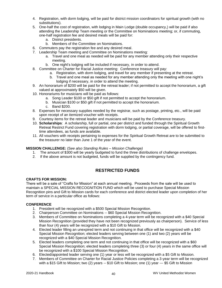- 4. Registration, with dorm lodging, will be paid for district mission coordinators for spiritual growth (with no substitutions).
- 5. One-half the cost of registration, with lodging in Main Lodge (double occupancy,) will be paid if also attending the Leadership Team meeting or the Committee on Nominations meeting; or, if commuting, one-half registration fee and desired meals will be paid for:
	- a. District presidents.
	- b. Members of the Committee on Nominations.
- 6. Commuters pay the registration fee and any desired meal.
- 7. Leadership Team meeting and Committee on Nominations meeting:
	- a. Travel and one meal as needed will be paid for any member attending only their respective meeting.
	- b. One night's lodging will be included if necessary, in order to attend.
- 8. Committee on Charter for Racial Justice meeting: Conference treasury will pay:
	- a. Registration, with dorm lodging, and travel for any member if presenting at the retreat.
	- b. Travel and one meal as needed for any member attending only the meeting with one night's lodging if necessary, in order to attend the meeting.
- 9. An honorarium of \$200 will be paid for the retreat leader; if not permitted to accept the honorarium, a gift valued at approximately \$50 will be given.
- 10. Honorariums for musicians will be paid as follows:
	- a. Song Leader \$100 or \$50 gift if not permitted to accept the honorarium.
	- b. Musician \$100 or \$50 gift if not permitted to accept the honorarium.
	- c. Band \$200.
- 8. Expenses for necessary supplies needed by the registrar, such as postage, printing, etc., will be paid upon receipt of an itemized voucher with receipts.
- 9. Courtesy items for the retreat leader and musicians will be paid by the Conference treasury.
- 10. **Scholarships**: A scholarship, full or partial, one per district and funded through the Spiritual Growth Retreat Restrict Fund covering registration with dorm lodging, or partial coverage, will be offered to firsttime attendees, as funds are available.
- 11. All vouchers with receipts pertaining to expenses for the Spiritual Growth Retreat are to be submitted to the treasurer no later than June 1 of the year of the event.

#### **MISSION CHALLENGE:** (S*ee also Standing Rules – Mission Challenge)*

- 1. The amount of \$300 will be yearly budgeted to fund the three distributions of challenge envelopes.
- 2. If the above amount is not budgeted, funds will be supplied by the contingency fund.

### **RESTRICTED FUNDS**

#### **CRAFTS FOR MISSION:**

There will be a sale of "Crafts for Mission" at each annual meeting. Proceeds from the sale will be used to maintain a SPECIAL MISSION RECOGNITION FUND which will be used to purchase Special Mission Recognition pins and Gift to Mission cards for each conference and district elected leader upon completion of her term of service in a particular office as follows:

#### **CONFERENCE**

- 1. President will be recognized with a \$500 Special Mission Recognition.
- 2. Chairperson Committee on Nominations -- \$60 Special Mission Recognition.
- 3. Members of Committee on Nominations completing a 4-year term will be recognized with a \$40 Special Mission Recognition (provided they have not been recognized previously as chairperson). Service of less than four (4) years will be recognized with a \$10 Gift to Mission.
- 4. Elected leader filling an unexpired term and not continuing in that office will be recognized with a \$40 Special Mission Recognition; elected leaders serving between one (1) and two (2) years will be recognized with a \$40 Special Mission Recognition.
- 5. Elected leaders completing one term and not continuing in that office will be recognized with a \$60 Special Mission Recognition; elected leaders completing three (3) or four (4) years in the same office will be recognized with a \$100 Special Mission Recognition.
- 6. Elected/appointed leader serving one (1) year or less will be recognized with a \$5 Gift to Mission.
- 7. Members of Committee on Charter for Racial Justice Policies completing a 3-year term will be recognized with a \$15 Gift to Mission; two (2) years -- \$10 Gift to Mission; one (1) year --- \$5 Gift to Mission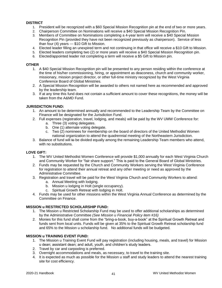#### **DISTRICT**

- 1. President will be recognized with a \$60 Special Mission Recognition pin at the end of two or more years.
- 2. Chairperson Committee on Nominations will receive a \$40 Special Mission Recognition Pin.
- 3. Members of Committee on Nominations completing a 4-year term will receive a \$40 Special Mission Recognition Pin (provided they have not been recognized previously as chairperson). Service of less than four (4) years --- \$10 Gift to Mission.
- 4. Elected leader filling an unexpired term and not continuing in that office will receive a \$10 Gift to Mission.
- 5. Elected leaders completing two (2) or more years will receive a \$40 Special Mission Recognition pin.
- 6. Elected/appointed leader not completing a term will receive a \$5 Gift to Mission pin.

#### **OTHER**

- 1. A \$40 Special Mission Recognition pin will be presented to any person residing within the conference at the time of his/her commissioning, hiring, or appointment as deaconess, church and community worker, missionary, mission project director, or other full-time ministry recognized by the West Virginia Conference Board of Global Ministries.
- 2. A Special Mission Recognition will be awarded to others not named here as recommended and approved by the leadership team.
- 3. If at any time this fund does not contain a sufficient amount to cover these recognitions, the money will be taken from the A&MD Fund.

#### **JURISDICTION FUND:**

- 1. An amount to be determined annually and recommended to the Leadership Team by the Committee on Finance will be designated for the Jurisdiction Fund.
- 2. Full expenses (registration, travel, lodging, and meals) will be paid by the WV UMW Conference for:
	- a. Three (3) voting delegates.
	- b. One (1) alternate voting delegate.
	- c. Two (2) nominees for membership on the board of directors of the United Methodist Women national organization to attend the quadrennial meeting of the Northeastern Jurisdiction.
- 3. Balance of fund will to be divided equally among the remaining Leadership Team members who attend, with no substitutions.

#### **LOVE GIFT:**

- 1. The WV United Methodist Women Conference will provide \$1,000 annually for each West Virginia Church and Community Worker for "fair share support." This is paid to the General Board of Global Ministries.
- 2. Funds may be requested by the Church and Community Workers serving the West Virginia Conference for registration to attend their annual retreat and any other meeting or need as approved by the Administrative Committee.
- 3. Registration and travel will be paid for the West Virginia Church and Community Workers to attend:
	- a. Annual Meeting with lodging.
	- b. Mission u lodging in Holt (single occupancy).
	- c. Spiritual Growth Retreat with lodging in Holt.
- 4. Funds may be used for other missions within the West Virginia Annual Conference as determined by the Committee on Finance.

#### **MISSION u RESTRICTED SCHOLARSHIP FUND:**

- 1. The Mission u Restricted Scholarship Fund may be used to offer additional scholarships as determined by the Administrative Committee *(See Mission u Financial Policy item #16)*
- 2. Monies for this fund shall come from the "bring-a-book, buy-a-book" at the Spiritual Growth Retreat and funds sent from local units. Funds will be given at 35% to the Spiritual Growth Retreat scholarship fund and 65% to the Mission u scholarship fund. No additional funds will be budgeted.

#### **MISSION u TRAINING EVENT FUND:**

- 1. The Mission u Training Event Fund will pay registration (including housing, meals, and travel) for Mission u dean; assistant dean; and adult, youth, and children's study leaders.
- 2. Travel by car and carpooling is preferred.
- 3. Overnight accommodations and meals, as necessary, to travel to the training site.
- 4. It is expected as much as possible for the Mission u staff and study leaders to attend the nearest training site for cost efficiency.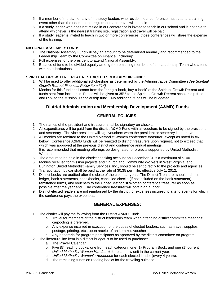- 5. If a member of the staff or any of the study leaders who reside in our conference must attend a training event other than the nearest one, registration and travel will be paid.
- 6. If a study leader who does not reside in our conference is invited to teach in our school and is not able to attend whichever is the nearest training site, registration and travel will be paid.
- 7. If a study leader is invited to teach in two or more conferences, those conferences will share the expense of the training.

#### **NATIONAL ASSEMBLY FUND:**

- 1. The National Assembly Fund will pay an amount to be determined annually and recommended to the Leadership Team by the Committee on Finance, including:
- 2. Full expenses for the president to attend National Assembly.
- 3. Balance of fund to be divided equally among the remaining members of the Leadership Team who attend, with no substitutions.

#### **SPIRITUAL GROWTH RETREAT RESTRICTED SCHOLARSHIP FUND:**

- 1. Will be used to offer additional scholarships as determined by the Administrative Committee *(See Spiritual Growth Retreat Financial Policy item #14)*
- 2. Monies for this fund shall come from the "bring-a-book, buy-a-book" at the Spiritual Growth Retreat and funds sent from local units. Funds will be given at 35% to the Spiritual Growth Retreat scholarship fund and 65% to the Mission u scholarship fund. No additional funds will be budgeted.

### **District Administration and Membership Development (A&MD) Funds**

### **GENERAL POLICIES:**

- 1. The names of the president and treasurer shall be signatory on checks.
- 2. All expenditures will be paid from the district A&MD Fund with all vouchers to be signed by the president and secretary. The vice president will sign vouchers when the president or secretary is the payee.
- 3. All monies are remitted to the United Methodist Women conference treasurer, except as noted in #6 below. Conference A&MD funds will be remitted to district treasurers upon request, not to exceed that which was approved at the previous district and conference annual meetings.
- 4. It is recommended that meeting offerings be designated for projects supported by United Methodist Women.
- 5. The amount to be held in the district checking account on December 31 is a maximum of \$100.
- 6. Monies received for mission projects and Church and Community Workers in West Virginia, and Burlington United Methodist Family Services, Inc., should be sent directly to the projects and agencies.
- 7. Transportation by car shall be paid at the rate of \$0.35 per mile, effective July 1, 2012.
- 8. District books are audited after the close of the calendar year. The District Treasurer should submit ledger, bank statements, checkbooks, cancelled checks (if not included on the bank statement), remittance forms, and vouchers to the United Methodist Women conference treasurer as soon as possible after the year end. The conference treasurer will obtain an auditor.
- 9. District elected leaders are not reimbursed by the district for expenses incurred to attend events for which the conference pays the expenses.

### **GENERAL EXPENSES:**

- 1. The district will pay the following from the District A&MD Fund:
	- a. Travel for members of the district leadership team when attending district committee meetings; carpooling is preferred.
	- b. Any expense incurred in execution of the duties of elected leaders, such as travel, supplies, postage, printing, etc., upon receipt of an itemized voucher.
	- c. Any honoraria for program participants as approved by the district committee on program.
- 2. The literature line item in a district budget is to be used to purchase:
	- a. The Prayer Calendar
	- b. Five (5) reading books, one from each category; one (1) Program Book; and one (1) current *United Methodist Women Handbook* for each new unit in the current year.
	- c. *United Methodist Women's Handbook* for each elected leader (every 4 years).
	- d. The remaining funds on reading books for the traveling suitcase.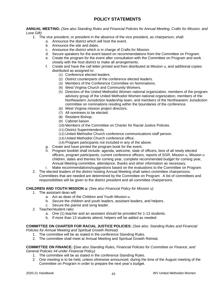# **POLICY STATEMENTS**

#### **ANNUAL MEETING:** *(See also Standing Rules and Financial Policies for Annual Meeting, Crafts for Mission, and Love Gift)*

- 1. The vice president, or president in the absence of the vice president, as chairperson, shall:
	- a. Announce the district which will host the event.
	- b. Announce the site and dates.
	- c. Announce the district which is in charge of Crafts for Mission.
	- d. Secure speakers for the event based on recommendations from the Committee on Program.
	- e. Create the program for the event after consultation with the Committee on Program and work closely with the host district to make all arrangements.
	- f. Create and have the call letter printed and then distributed at Mission u, and additional copies distributed as assigned to:
		- (1) Conference elected leaders.
		- (2) District counterparts of the conference elected leaders.
		- (3) Members of the Conference Committee on Nominations.
		- (4) West Virginia Church and Community Workers.
		- (5) Directors of the United Methodist Women national organization, members of the program advisory group of the United Methodist Women national organization, members of the Northeastern Jurisdiction leadership team, and members of the Northeastern Jurisdiction committee on nominations residing within the boundaries of the conference.
		- (6) West Virginia mission project directors.
		- (7) All nominees to be elected.
		- (8) Resident Bishop.
		- (9) Cabinet liaison.
		- (10) Members of the Committee on Charter for Racial Justice Policies.
		- (11) District Superintendents.
		- (12) United Methodist Church conference communications staff person.
		- (13) United Methodist Church conference office.
		- (14) Program participants not included in any of the above.
	- g. Create and have printed the program book for the event.
	- h. Program booklet shall include: agenda, welcome, slate of officers, bios of all newly elected officers, program participants, current conference officers, reports of SGR, Mission u, Mission u children, dates and themes for coming year, complete recommended budget for coming year, Annual Meeting committee, attendance, thanks and other information as necessary.
	- i. Make recommendations/suggestions based on the evaluations to the Committee on Program.
- 2. The elected leaders of the district hosting Annual Meeting shall select committee chairpersons. Committees that are needed are determined by the Committee on Program. A list of committees and responsibilities will be given to the district president and all committee chairpersons.

#### **CHILDREN AND YOUTH MISSION u:** *(See also Financial Policy for Mission u)*

- 1. The assistant dean will
	- a. Act as dean of the Children and Youth Mission u.
	- b. Secure the children and youth leaders, assistant leaders, and helpers.
	- c. Secure the pianist and song leader.
- 2. Teacher/student ratio:
	- a. One (1) teacher and an assistant should be provided for 1-13 students.
	- b. If more than 13 students attend, helpers will be added as needed.

#### **COMMITTEE ON CHARTER FOR RACIAL JUSTICE POLICIES:** *(See also: Standing Rules and Financial Policies for Annual Meeting and Spiritual Growth Retreat)*

- 1. The committee will be as stated in the conference Standing Rules.
- 2. The committee shall meet at Annual Meeting and Spiritual Growth Retreat.

#### **COMMITTEE ON FINANCE: (***See also Standing Rules, Financial Policies for Committee on Finance, and General Policies #4 under Financial Policy)*

- 1. The committee will be as stated in the conference Standing Rules.
- 2. One meeting is to be held, unless otherwise announced, during the time of the August meeting of the Committee on Program in order to prepare the next year's budget.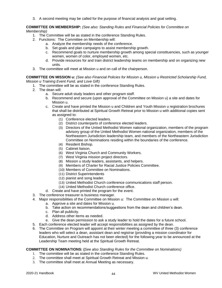3. A second meeting may be called for the purpose of financial analysis and goal setting.

#### **COMMITTEE ON MEMBERSHIP:** *(See also: Standing Rules and Financial Policies for Committee on Membership)*

- 1. The Committee will be as stated in the conference Standing Rules.
- 2. Functions: The Committee on Membership will:
	- a. Analyze the membership needs of the conference.
	- b. Set goals and plan campaigns to assist membership growth.
	- c. Recommend goals to nurture membership growth among special constituencies, such as younger women, women of color, employed women, etc.
	- d. Provide resources for and train district leadership teams on membership and on organizing new units.
- 3. The committee will meet at Mission u and on call of the chairperson.

#### **COMMITTEE ON MISSION u:** *(See also Financial Policies for Mission u, Mission u Restricted Scholarship Fund, Mission u Training Event Fund, and Love Gift)*

- 1. The committee will be as stated in the conference Standing Rules.
- 2. The dean will:
	- a. Secure adult study leaders and other program staff.
	- b. Recommend and secure (upon approval of the Committee on Mission u) a site and dates for Mission u.
	- c. Create and have printed the Mission u and Children and Youth Mission u registration brochures that shall be distributed at Spiritual Growth Retreat prior to Mission u with additional copies sent as assigned to:
		- (1) Conference elected leaders.
		- (2) District counterparts of conference elected leaders.
		- (3) Directors of the United Methodist Women national organization, members of the program advisory group of the United Methodist Women national organization, members of the Northeastern Jurisdiction leadership team, and members of the Northeastern Jurisdiction Committee on Nominations residing within the boundaries of the conference.
		- (4) Resident Bishop.
		- (5) Cabinet liaison.
		- (6) West Virginia Church and Community Workers.
		- (7) West Virginia mission project directors.
		- (8) Mission u study leaders, assistants, and helpers.
		- (9) Members of Charter for Racial Justice Policies Committee.
		- (10) Members of Committee on Nominations.
		- (11) District Superintendents
		- (12) pianist and song leader.
		- (13) United Methodist Church conference communications staff person.
		- (14) United Methodist Church conference office.
	- d. Create and have printed the program for the event.
- 3. The conference treasurer is business manager.
- 4. Major responsibilities of the Committee on Mission u: The Committee on Mission u will:
	- a. Approve a site and dates for Mission u.
	- b. Take action on recommendations/suggestions from the dean and children's dean.
	- c. Plan all publicity.
	- d. Address other items as needed.
	- e. Give the dean permission to ask a study leader to hold the dates for a future school.
- 5. Each conference elected leader will accept responsibilities as assigned by the dean.
- 6. The Committee on Program will appoint at their winter meeting a committee of three (3) conference leaders who will select a dean, assistant dean and registrar (providing a mission coordinator for Education, Nurture and Outreach has not been elected) for the following year to be announced at the Leadership Team meeting held at the Spiritual Growth Retreat.

#### **COMMITTEE ON NOMINATIONS: (***See also Standing Rules for the Committee on Nominations)*

- 1. The committee will be as stated in the conference Standing Rules.
- 2. The committee shall meet at Spiritual Growth Retreat and Mission u.
- 3. The committee shall meet at Annual Meeting as necessary.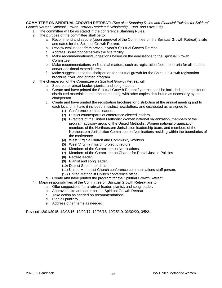**COMMITTEE ON SPIRITUAL GROWTH RETREAT:** *(See also Standing Rules and Financial Policies for Spiritual Growth Retreat, Spiritual Growth Retreat Restricted Scholarship Fund, and Love Gift)*

- 1. The committee will be as stated in the conference Standing Rules.
- 2. The purpose of the committee shall be to:
	- a. Recommend and secure (upon approval of the Committee on the Spiritual Growth Retreat) a site and dates for the Spiritual Growth Retreat.
	- b. Review evaluations from previous year's Spiritual Growth Retreat.
	- c. Address issues/concerns with the site facility.
	- d. Make recommendations/suggestions based on the evaluations to the Spiritual Growth Committee.
	- e. Make recommendations on financial matters, such as registration fees, honoraria for all leaders, and/or additional expenditures.
	- f. Make suggestions to the chairperson for spiritual growth for the Spiritual Growth registration brochure, flyer, and printed program.
- 3. The chairperson of the Committee on Spiritual Growth Retreat will:
	- a. Secure the retreat leader, pianist, and song leader.
	- b. Create and have printed the Spiritual Growth Retreat flyer that shall be included in the packet of distributed materials at the annual meeting, with other copies distributed as necessary by the chairperson.
	- c. Create and have printed the registration brochure for distribution at the annual meeting and to each local unit; have it included in district newsletters; and distributed as assigned to:
		- (1) Conference elected leaders.
		- (2) District counterparts of conference elected leaders.
		- (3) Directors of the United Methodist Women national organization, members of the program advisory group of the United Methodist Women national organization, members of the Northeastern Jurisdiction leadership team, and members of the Northeastern Jurisdiction Committee on Nominations residing within the boundaries of the conference.
		- (4) West Virginia Church and Community Workers.
		- (5) West Virginia mission project directors.
		- (6) Members of the Committee on Nominations.
		- (7) Members of the Committee on Charter for Racial Justice Policies.
		- (8) Retreat leader.
		- (9) Pianist and song leader.
		- (10) District Superintendents.
		- (11) United Methodist Church conference communications staff person.
		- (12) United Methodist Church conference office.
	- d. Create and have printed the program for the Spiritual Growth Retreat.
- 4. Major responsibilities of the Committee on Spiritual Growth Retreat are to:
	- a. Offer suggestions for a retreat leader, pianist, and song leader.
	- b. Approve a site and dates for the Spiritual Growth Retreat.
	- c. Take action as needed on recommendations.
	- d. Plan all publicity.
	- e. Address other items as needed.

Revised 12/01/2015; 12/08/16, 12/09/17, 12/08/18, 10/25/19, 02/02/20, 3/5/21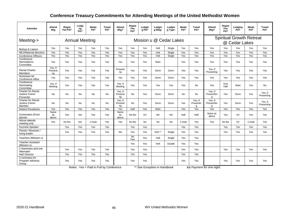# **Conference Treasury Commitments for Attending Meetings of the United Methodist Women**

| Attendee                                               | Attend<br>Mtg             | Regist<br>Fee Pd? | Lodgi<br>ng<br>Pd?    | <b>Meals</b><br>Pd? | <b>Travel</b><br>Pd? | Attend<br>Mtg?            | Regist<br>Fee<br>Pd? | Lodgin<br>g Pd?         | Lodgin<br>g Bldg: | Lodgin<br>g Type: | <b>Meals</b><br>Pd? | <b>Travel</b><br>Pd?      | Attend<br>Mtg?             | Regist<br>Fee<br>Pd? | Lodging<br>Pd?                                   | <b>Meals</b><br>Pd? | <b>Travel</b><br>Pd?  |
|--------------------------------------------------------|---------------------------|-------------------|-----------------------|---------------------|----------------------|---------------------------|----------------------|-------------------------|-------------------|-------------------|---------------------|---------------------------|----------------------------|----------------------|--------------------------------------------------|---------------------|-----------------------|
| Meeting->                                              |                           |                   | <b>Annual Meeting</b> |                     |                      |                           |                      | Mission u @ Cedar Lakes |                   |                   |                     |                           |                            |                      | <b>Spiritual Growth Retreat</b><br>@ Cedar Lakes |                     |                       |
| Bishop & Liaison                                       | Yes                       | Yes               | Yes                   | Yes                 | Yes                  | Yes                       | Yes                  | Yes                     | Holt              | Single            | Yes                 | Yes                       | Yes                        | Yes                  | Yes                                              | Yes                 | Yes                   |
| NEJ/National directors                                 | Yes                       | Yes               | Yes                   | Yes                 | Yes                  | Yes                       | Yes                  | Yes                     | Holt              | Single            | Yes                 | Yes                       | Yes                        | Yes                  | Yes                                              | Yes                 | Yes                   |
| <b>Conference Officers</b>                             | Yes                       | Yes               | Yes                   | Yes                 | Yes                  | Yes                       | Yes                  | Yes                     | Holt              | Single            | Yes                 | Yes                       | Yes                        | Yes                  | Yes                                              | Yes                 | Yes                   |
| Conference<br>Nominations<br>Committee                 | Yes                       | Yes               | Yes                   | Yes                 | Yes                  | Yes                       | Yes                  | Yes                     | Main              |                   | Yes                 | Yes                       | <b>Yes</b>                 | Yes                  | Yes                                              | Yes                 | Yes                   |
| <b>Racial Charter</b><br><b>Members</b>                | Yes, If<br>Presenti<br>ng | Yes               | Yes                   | Yes                 | Yes                  | Presenti<br>ng            | Yes                  | Yes                     | Dorm              | Dorm              | Yes                 | Yes                       | Yes, If<br>Presenting      | Yes                  | Yes                                              | Yes                 | Yes                   |
| Nominees for<br>Conference office                      | Yes                       | Yes               | Yes                   | Yes                 | Yes                  | Yes                       | Yes                  | Yes                     | Dorm              | Dorm              | Yes                 | Yes                       | Yes                        | Yes                  | Yes                                              | Yes                 | Yes                   |
| Conference<br>Nominating<br>Committee                  | Yes, If<br>Meeting        | Yes               | Yes                   | Yes                 | Yes                  | Yes, If<br>Meeting        | Yes                  | Yes                     | Yes               | Yes               | Yes                 | No                        | Yes                        | One<br>Half          | Main                                             | Yes                 | No                    |
| <b>Charter for Racial</b><br>Justice Comm<br>Presenter | No.                       | No                | No                    | <b>No</b>           | No                   | Yes, If<br>Presenti<br>ng | No                   | Yes                     | Dorm              | Dorm              | No.                 | No                        | Yes, If<br>Present5in<br>g | Yes                  | Dorm                                             | Yes                 | Yes, If<br>Presenting |
| <b>Charter for Racial</b><br>Justice Comm<br>Member    | No                        | No                | No                    | No                  | No                   | Yes, If<br>Presenti<br>ng | <b>No</b>            | Yes                     | Dorm              | Dorm              | Yes                 | Yes, If<br>Presentin<br>g | Yes, If<br>Present5in<br>g | Yes                  | Dorm                                             | Yes                 | Yes, If<br>Presenting |
| <b>District Presidents</b>                             | Yes                       | Yes               | Yes                   | Yes                 | Yes                  | Yes                       | Half                 | Yes                     | Main              |                   | Yes                 | Yes                       | Yes                        | Yes                  | Yes                                              | Yes                 | Yes                   |
| Commuters (From<br>above)                              | Same<br>as<br>above       | Yes               | <b>NA</b>             | Yes                 | Yes                  | Same<br>as<br>above       | No fee               | XX                      | <b>NA</b>         | <b>NA</b>         | Half                | Half                      | Same as<br>above           | Yes                  | XX                                               | Yes                 | Yes                   |
| Above attends<br>meeting only                          | Yes                       | No fee            | <b>NA</b>             | 1 meal              | Yes                  | Yes                       | No fee               | <b>No</b>               | <b>No</b>         | <b>No</b>         | 1 meal              | Yes                       | Yes                        | No fee               | XX                                               | 1 meal              | Yes                   |
| Keynote Speaker                                        |                           | Yes               | Yes                   | Yes                 | Yes                  |                           | Yes                  | Yes                     |                   |                   | Yes                 | Yes                       |                            | Yes                  | Yes                                              | Yes                 | Yes                   |
| Pianist / Musician /<br>Song leader                    |                           | Yes               | Yes                   | Yes                 | Yes                  | <b>NA</b>                 | Yes                  | Yes                     | Holt **           | Single            | Yes                 | Yes                       |                            | Yes                  | Yes                                              | Yes                 | Yes                   |
| Teachers (Mission u)                                   |                           |                   |                       |                     |                      |                           | No<br>Fee            | Yes                     | Holt              | Single            | Yes                 | Yes                       |                            |                      |                                                  |                     |                       |
| <b>Teacher Assistant</b><br>(Mission u)                |                           |                   |                       |                     |                      |                           | Yes                  | Yes                     | Holt              | Double            | Yes                 | Yes                       |                            |                      |                                                  |                     |                       |
| 2 Nominees and one<br>Alternate/                       |                           | Yes               | Yes                   | Yes                 | Yes                  |                           | Yes                  | Yes                     |                   |                   | Yes                 | Yes                       |                            | Yes                  | Yes                                              | Yes                 | Yes                   |
| Nat'l Director                                         |                           | Yes               | Yes                   | Yes                 | Yes                  |                           | Yes                  | Yes                     |                   |                   | Yes                 | Yes                       |                            |                      |                                                  |                     |                       |
| 3 nominees for<br>Program Advisory<br>Group            |                           | Yes               | Yes                   | Yes                 | Yes                  |                           | Yes                  | Yes                     |                   |                   | Yes                 | Yes                       |                            | Yes                  | Yes                                              | Yes                 | Yes                   |

Notes: Yes = Paid in Full by Conference \*\* See Exception in Handbook 8.8 Payment for one night.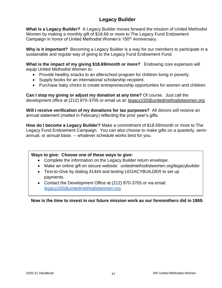# **Legacy Builder**

**What is a Legacy Builder?** A Legacy Builder moves forward the mission of United Methodist Women by making a monthly gift of \$18.69 or more to The Legacy Fund Endowment Campaign in honor of United Methodist Women's 150<sup>th</sup> Anniversary.

**Why is it important?** Becoming a Legacy Builder is a way for our members to participate in a sustainable and regular way of giving to the Legacy Fund Endowment Fund.

**What is the impact of my giving \$18.69/month or more?** Endowing core expenses will equip United Methodist Women to:

- Provide healthy snacks to an afterschool program for children living in poverty.
- Supply books for an international scholarship recipient.
- Purchase baby chicks to create entrepreneurship opportunites for women and children.

**Can I stop my giving or adjust my donation at any time?** Of course. Just call the development office at (212) 870-3705 or email us at: [legacy150@unitedmethodistwomen.org](mailto:legacy150@unitedmethodistwomen.org)

**Will I receive verification of my donations for tax purposes?** All donors will receive an annual statement (mailed in February) reflecting the prior year's gifts.

**How do I become a Legacy Builder?** Make a commitment of \$18.69/month or more to The Legacy Fund Endowment Campaign. You can also choose to make gifts on a quarterly, semiannual, or annual basis -- whatever schedule works best for you.

### **Ways to give: Choose one of these ways to give:**

- Complete the information on the Legacy Builder return envelope.
- Make an online gift on secure website: unitedmethodistwomen.org/legacybuilder
- Text-to-Give by dialing 41444 and texting LEGACYBUILDER to set up payments.
- Contact the Development Office at (212) 870-3705 or via email: [legacy150@unitedmethodistwomen.org](mailto:legacy150@unitedmethodistwomen.org)

**Now is the time to invest in our future mission work as our foremothers did in 1869.**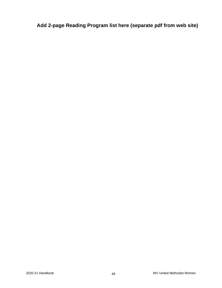**Add 2-page Reading Program list here (separate pdf from web site)**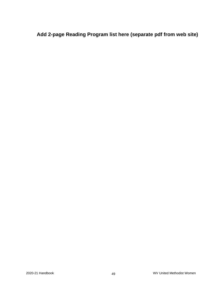**Add 2-page Reading Program list here (separate pdf from web site)**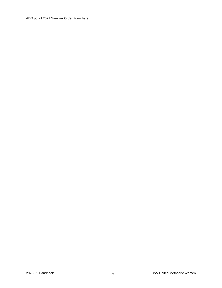ADD pdf of 2021 Sampler Order Form here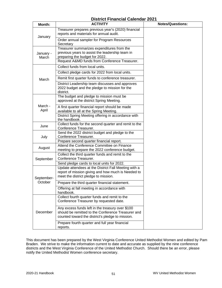# **District Financial Calendar 2021**

| Month:             | <b>ACTIVITY</b>                                                                                                                                                                                  | <b>Notes/Questions:</b> |  |  |  |  |
|--------------------|--------------------------------------------------------------------------------------------------------------------------------------------------------------------------------------------------|-------------------------|--|--|--|--|
|                    | Treasurer prepares previous year's (2020) financial<br>reports and materials for annual audit.                                                                                                   |                         |  |  |  |  |
| January            | Order annual sampler for Program Resources<br>Secretary                                                                                                                                          |                         |  |  |  |  |
| January -<br>March | Treasurer summarizes expenditures from the<br>previous years to assist the leadership team in<br>preparing the budget for 2022.<br>Request A&MD funds from Conference Treasurer.                 |                         |  |  |  |  |
|                    | Collect funds from local units.                                                                                                                                                                  |                         |  |  |  |  |
|                    | Collect pledge cards for 2022 from local units.                                                                                                                                                  |                         |  |  |  |  |
|                    | Remit first quarter funds to conference treasurer.                                                                                                                                               |                         |  |  |  |  |
| March              | District Leadership team discusses and approves<br>2022 budget and the pledge to mission for the<br>district.                                                                                    |                         |  |  |  |  |
|                    | The budget and pledge to mission must be<br>approved at the district Spring Meeting.                                                                                                             |                         |  |  |  |  |
| March -<br>April   | A first quarter financial report should be made<br>available to all at the Spring Meeting.                                                                                                       |                         |  |  |  |  |
|                    | District Spring Meeting offering in accordance with<br>the handbook.                                                                                                                             |                         |  |  |  |  |
| June               | Collect funds for the second quarter and remit to the<br>Conference Treasurer.                                                                                                                   |                         |  |  |  |  |
| July               | Send the 2022 district budget and pledge to the<br>Conference Treasurer.                                                                                                                         |                         |  |  |  |  |
| August             | Prepare second quarter financial report.<br>Attend the Conference Committee on Finance<br>meeting to prepare the 2022 conference budget.                                                         |                         |  |  |  |  |
| September          | Collect the third quarter funds and remit to the<br>Conference Treasurer.                                                                                                                        |                         |  |  |  |  |
| September-         | Send pledge cards to local units for 2022.<br>Update attendees at the District Fall Meeting with a<br>report of mission giving and how much is Needed to<br>meet the district pledge to mission. |                         |  |  |  |  |
| October            | Prepare the third quarter financial statement.                                                                                                                                                   |                         |  |  |  |  |
|                    | Offering at fall meeting in accordance with<br>handbook.                                                                                                                                         |                         |  |  |  |  |
| December           | Collect fourth quarter funds and remit to the<br>Conference Treasurer by requested date.                                                                                                         |                         |  |  |  |  |
|                    | Any excess funds left in the treasury over \$100<br>should be remitted to the Conference Treasurer and<br>counted toward the district's pledge to mission.                                       |                         |  |  |  |  |
|                    | Prepare fourth quarter and full year financial<br>reports.                                                                                                                                       |                         |  |  |  |  |

This document has been prepared by the West Virginia Conference United Methodist Women and edited by Pam Braden. We strive to make the information current to date and accurate as supplied by the nine conference districts and the West Virginia Conference of the United Methodist Church. Should there be an error, please notify the United Methodist Women conference secretary.